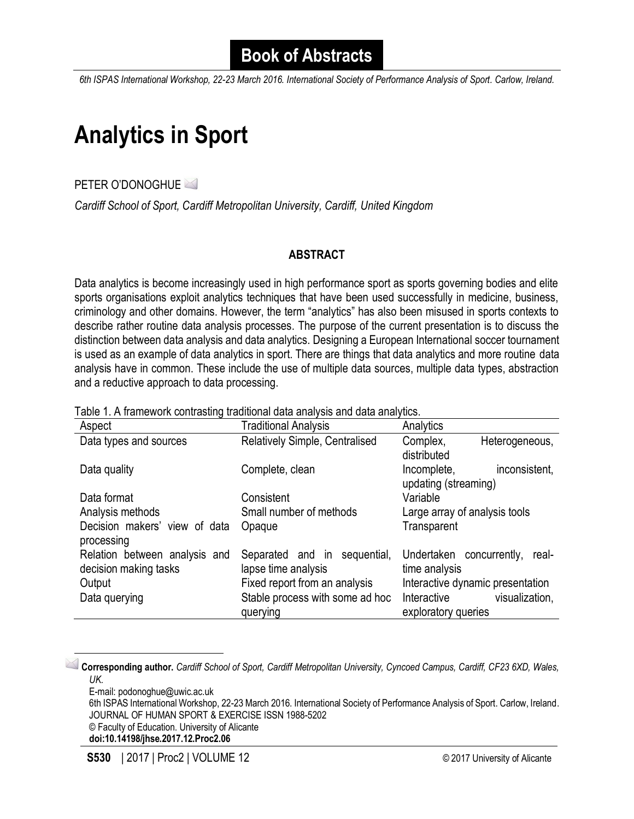*6th ISPAS International Workshop, 22-23 March 2016. International Society of Performance Analysis of Sport. Carlow, Ireland.*

## **Analytics in Sport**

PETER O'DONOGHUE

*Cardiff School of Sport, Cardiff Metropolitan University, Cardiff, United Kingdom*

### **ABSTRACT**

Data analytics is become increasingly used in high performance sport as sports governing bodies and elite sports organisations exploit analytics techniques that have been used successfully in medicine, business, criminology and other domains. However, the term "analytics" has also been misused in sports contexts to describe rather routine data analysis processes. The purpose of the current presentation is to discuss the distinction between data analysis and data analytics. Designing a European International soccer tournament is used as an example of data analytics in sport. There are things that data analytics and more routine data analysis have in common. These include the use of multiple data sources, multiple data types, abstraction and a reductive approach to data processing.

| Aspect                                                 | <b>Traditional Analysis</b>                         | Analytics                                            |
|--------------------------------------------------------|-----------------------------------------------------|------------------------------------------------------|
| Data types and sources                                 | <b>Relatively Simple, Centralised</b>               | Complex,<br>Heterogeneous,<br>distributed            |
| Data quality                                           | Complete, clean                                     | inconsistent,<br>Incomplete,<br>updating (streaming) |
| Data format                                            | Consistent                                          | Variable                                             |
| Analysis methods                                       | Small number of methods                             | Large array of analysis tools                        |
| Decision makers' view of data<br>processing            | Opaque                                              | Transparent                                          |
| Relation between analysis and<br>decision making tasks | Separated and in sequential,<br>lapse time analysis | Undertaken concurrently,<br>real-<br>time analysis   |
| Output                                                 | Fixed report from an analysis                       | Interactive dynamic presentation                     |
| Data querying                                          | Stable process with some ad hoc<br>querying         | visualization,<br>Interactive<br>exploratory queries |

Table 1. A framework contrasting traditional data analysis and data analytics.

**Corresponding author.** *Cardiff School of Sport, Cardiff Metropolitan University, Cyncoed Campus, Cardiff, CF23 6XD, Wales, UK.*

E-mail: podonoghue@uwic.ac.uk

 $\overline{\phantom{a}}$ 

6th ISPAS International Workshop, 22-23 March 2016. International Society of Performance Analysis of Sport. Carlow, Ireland. JOURNAL OF HUMAN SPORT & EXERCISE ISSN 1988-5202

© Faculty of Education. University of Alicante

**doi:10.14198/jhse.2017.12.Proc2.06**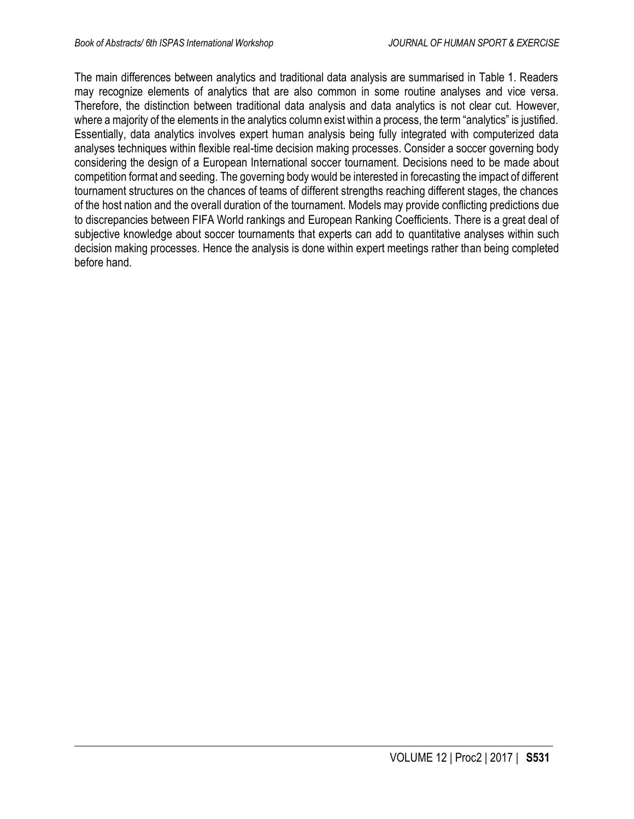The main differences between analytics and traditional data analysis are summarised in Table 1. Readers may recognize elements of analytics that are also common in some routine analyses and vice versa. Therefore, the distinction between traditional data analysis and data analytics is not clear cut. However, where a majority of the elements in the analytics column exist within a process, the term "analytics" is justified. Essentially, data analytics involves expert human analysis being fully integrated with computerized data analyses techniques within flexible real-time decision making processes. Consider a soccer governing body considering the design of a European International soccer tournament. Decisions need to be made about competition format and seeding. The governing body would be interested in forecasting the impact of different tournament structures on the chances of teams of different strengths reaching different stages, the chances of the host nation and the overall duration of the tournament. Models may provide conflicting predictions due to discrepancies between FIFA World rankings and European Ranking Coefficients. There is a great deal of subjective knowledge about soccer tournaments that experts can add to quantitative analyses within such decision making processes. Hence the analysis is done within expert meetings rather than being completed before hand.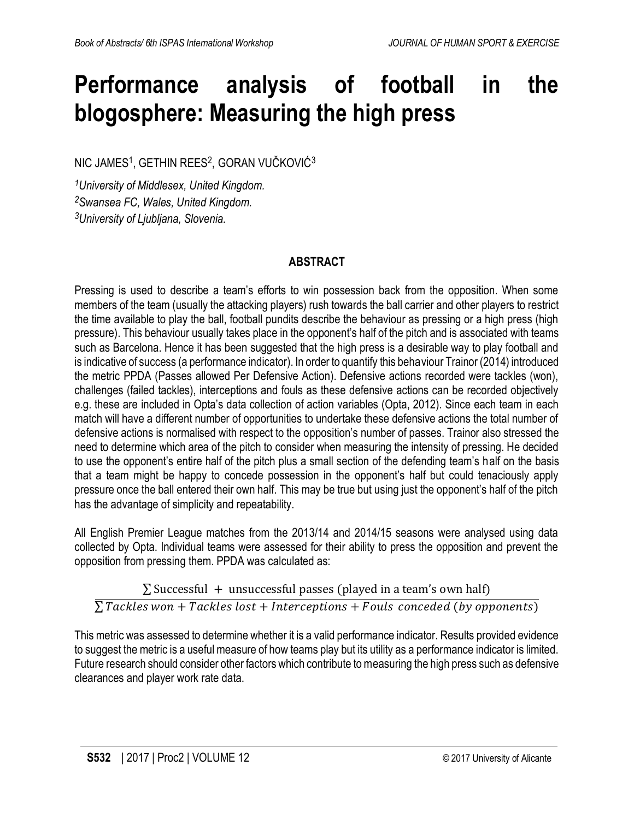## **Performance analysis of football in the blogosphere: Measuring the high press**

NIC JAMES<sup>1</sup>, GETHIN REES<sup>2</sup>, GORAN VUČKOVIĆ<sup>3</sup>

*<sup>1</sup>University of Middlesex, United Kingdom. <sup>2</sup>Swansea FC, Wales, United Kingdom. <sup>3</sup>University of Ljubljana, Slovenia.*

## **ABSTRACT**

Pressing is used to describe a team's efforts to win possession back from the opposition. When some members of the team (usually the attacking players) rush towards the ball carrier and other players to restrict the time available to play the ball, football pundits describe the behaviour as pressing or a high press (high pressure). This behaviour usually takes place in the opponent's half of the pitch and is associated with teams such as Barcelona. Hence it has been suggested that the high press is a desirable way to play football and is indicative of success (a performance indicator). In order to quantify this behaviour Trainor (2014) introduced the metric PPDA (Passes allowed Per Defensive Action). Defensive actions recorded were tackles (won), challenges (failed tackles), interceptions and fouls as these defensive actions can be recorded objectively e.g. these are included in Opta's data collection of action variables (Opta, 2012). Since each team in each match will have a different number of opportunities to undertake these defensive actions the total number of defensive actions is normalised with respect to the opposition's number of passes. Trainor also stressed the need to determine which area of the pitch to consider when measuring the intensity of pressing. He decided to use the opponent's entire half of the pitch plus a small section of the defending team's half on the basis that a team might be happy to concede possession in the opponent's half but could tenaciously apply pressure once the ball entered their own half. This may be true but using just the opponent's half of the pitch has the advantage of simplicity and repeatability.

All English Premier League matches from the 2013/14 and 2014/15 seasons were analysed using data collected by Opta. Individual teams were assessed for their ability to press the opposition and prevent the opposition from pressing them. PPDA was calculated as:

 $\Sigma$  Successful + unsuccessful passes (played in a team's own half)  $\overline{\Sigma}$ Tackles won + Tackles lost + Interceptions + Fouls conceded (by opponents)

This metric was assessed to determine whether it is a valid performance indicator. Results provided evidence to suggest the metric is a useful measure of how teams play but its utility as a performance indicator is limited. Future research should consider other factors which contribute to measuring the high press such as defensive clearances and player work rate data.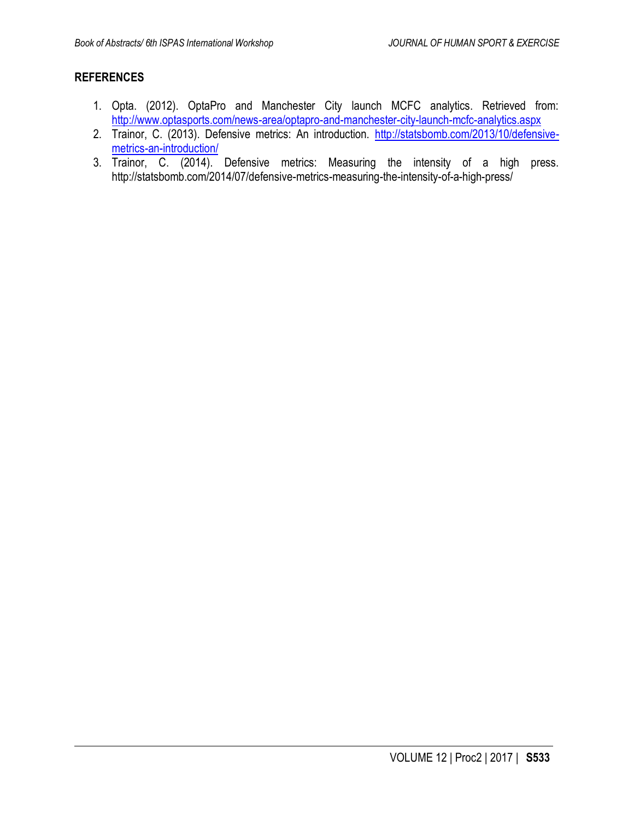- 1. Opta. (2012). OptaPro and Manchester City launch MCFC analytics. Retrieved from: <http://www.optasports.com/news-area/optapro-and-manchester-city-launch-mcfc-analytics.aspx>
- 2. Trainor, C. (2013). Defensive metrics: An introduction. [http://statsbomb.com/2013/10/defensive](http://statsbomb.com/2013/10/defensive-metrics-an-introduction/)[metrics-an-introduction/](http://statsbomb.com/2013/10/defensive-metrics-an-introduction/)
- 3. Trainor, C. (2014). Defensive metrics: Measuring the intensity of a high press. http://statsbomb.com/2014/07/defensive-metrics-measuring-the-intensity-of-a-high-press/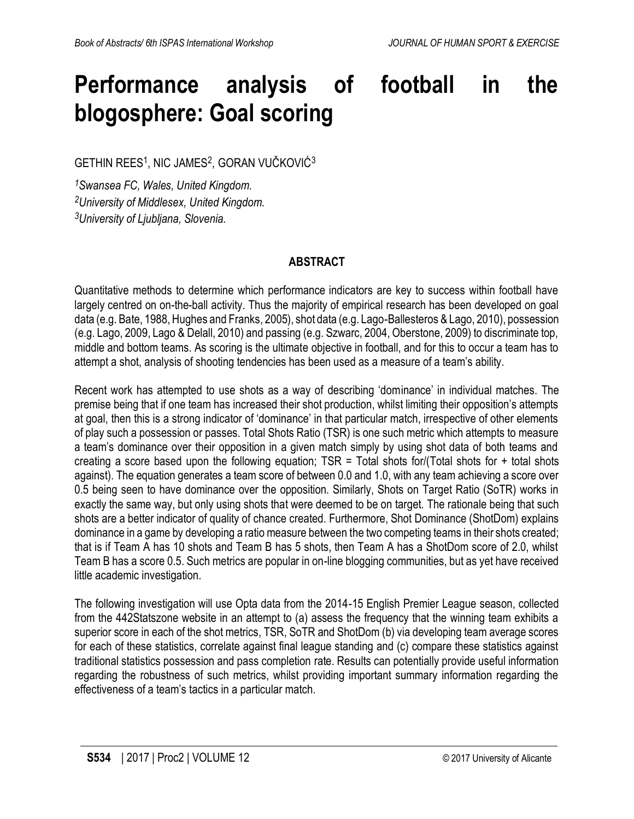## **Performance analysis of football in the blogosphere: Goal scoring**

 $\mathsf{GETHIN}\ \mathsf{REES^1}\!,$  NIC JAMES $^2$ , GORAN VUČKOVIĆ $^3$ 

*<sup>1</sup>Swansea FC, Wales, United Kingdom. <sup>2</sup>University of Middlesex, United Kingdom. <sup>3</sup>University of Ljubljana, Slovenia.*

## **ABSTRACT**

Quantitative methods to determine which performance indicators are key to success within football have largely centred on on-the-ball activity. Thus the majority of empirical research has been developed on goal data (e.g. Bate, 1988, Hughes and Franks, 2005), shot data (e.g. Lago-Ballesteros & Lago, 2010), possession (e.g. Lago, 2009, Lago & Delall, 2010) and passing (e.g. Szwarc, 2004, Oberstone, 2009) to discriminate top, middle and bottom teams. As scoring is the ultimate objective in football, and for this to occur a team has to attempt a shot, analysis of shooting tendencies has been used as a measure of a team's ability.

Recent work has attempted to use shots as a way of describing 'dominance' in individual matches. The premise being that if one team has increased their shot production, whilst limiting their opposition's attempts at goal, then this is a strong indicator of 'dominance' in that particular match, irrespective of other elements of play such a possession or passes. Total Shots Ratio (TSR) is one such metric which attempts to measure a team's dominance over their opposition in a given match simply by using shot data of both teams and creating a score based upon the following equation;  $TSR = Total$  shots for/(Total shots for  $+$  total shots against). The equation generates a team score of between 0.0 and 1.0, with any team achieving a score over 0.5 being seen to have dominance over the opposition. Similarly, Shots on Target Ratio (SoTR) works in exactly the same way, but only using shots that were deemed to be on target. The rationale being that such shots are a better indicator of quality of chance created. Furthermore, Shot Dominance (ShotDom) explains dominance in a game by developing a ratio measure between the two competing teams in their shots created; that is if Team A has 10 shots and Team B has 5 shots, then Team A has a ShotDom score of 2.0, whilst Team B has a score 0.5. Such metrics are popular in on-line blogging communities, but as yet have received little academic investigation.

The following investigation will use Opta data from the 2014-15 English Premier League season, collected from the 442Statszone website in an attempt to (a) assess the frequency that the winning team exhibits a superior score in each of the shot metrics, TSR, SoTR and ShotDom (b) via developing team average scores for each of these statistics, correlate against final league standing and (c) compare these statistics against traditional statistics possession and pass completion rate. Results can potentially provide useful information regarding the robustness of such metrics, whilst providing important summary information regarding the effectiveness of a team's tactics in a particular match.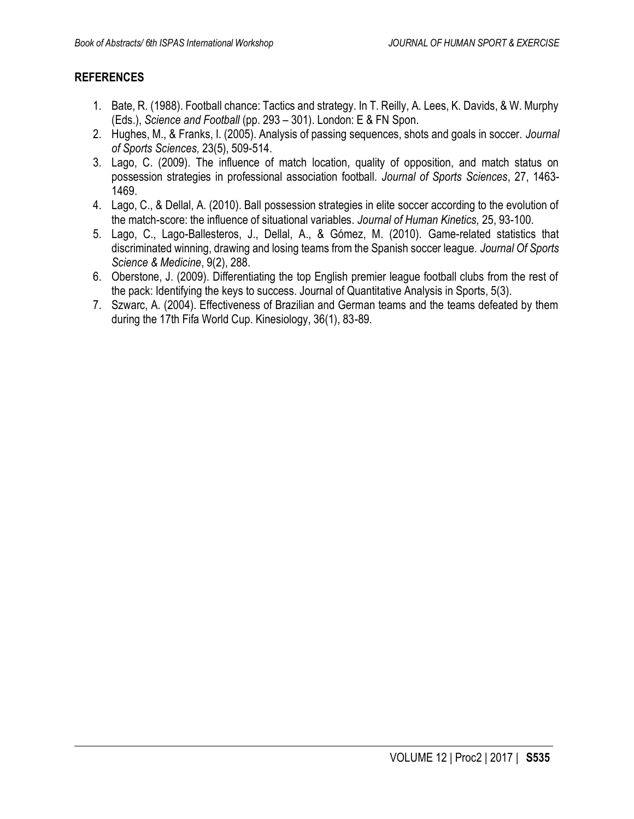- 1. Bate, R. (1988). Football chance: Tactics and strategy. In T. Reilly, A. Lees, K. Davids, & W. Murphy (Eds.), *Science and Football* (pp. 293 – 301). London: E & FN Spon.
- 2. Hughes, M., & Franks, I. (2005). Analysis of passing sequences, shots and goals in soccer. *Journal of Sports Sciences,* 23(5), 509-514.
- 3. Lago, C. (2009). The influence of match location, quality of opposition, and match status on possession strategies in professional association football. *Journal of Sports Sciences*, 27, 1463- 1469.
- 4. Lago, C., & Dellal, A. (2010). Ball possession strategies in elite soccer according to the evolution of the match-score: the influence of situational variables. *Journal of Human Kinetics,* 25, 93-100.
- 5. Lago, C., Lago-Ballesteros, J., Dellal, A., & Gómez, M. (2010). Game-related statistics that discriminated winning, drawing and losing teams from the Spanish soccer league. *Journal Of Sports Science & Medicine*, 9(2), 288.
- 6. Oberstone, J. (2009). Differentiating the top English premier league football clubs from the rest of the pack: Identifying the keys to success. Journal of Quantitative Analysis in Sports, 5(3).
- 7. Szwarc, A. (2004). Effectiveness of Brazilian and German teams and the teams defeated by them during the 17th Fifa World Cup. Kinesiology, 36(1), 83-89.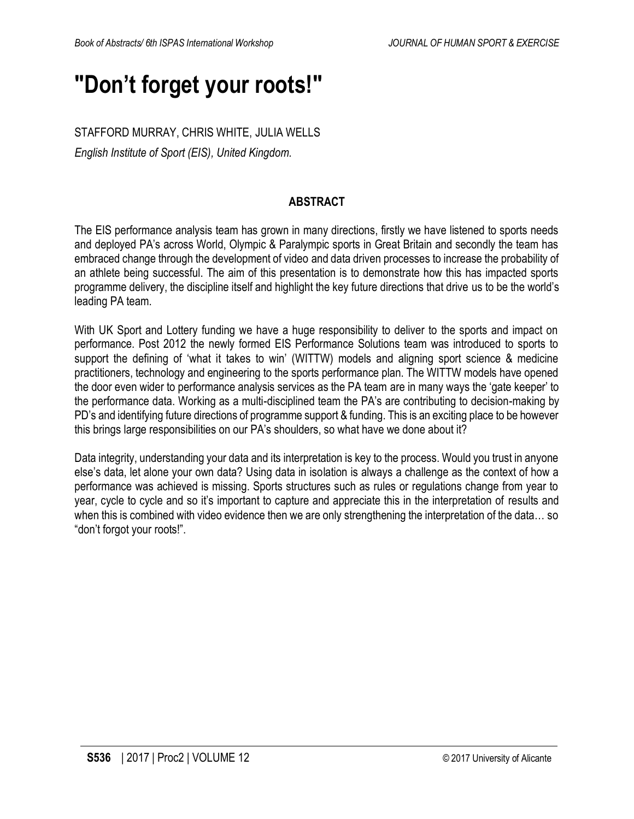## **"Don't forget your roots!"**

STAFFORD MURRAY, CHRIS WHITE, JULIA WELLS

*English Institute of Sport (EIS), United Kingdom.*

### **ABSTRACT**

The EIS performance analysis team has grown in many directions, firstly we have listened to sports needs and deployed PA's across World, Olympic & Paralympic sports in Great Britain and secondly the team has embraced change through the development of video and data driven processes to increase the probability of an athlete being successful. The aim of this presentation is to demonstrate how this has impacted sports programme delivery, the discipline itself and highlight the key future directions that drive us to be the world's leading PA team.

With UK Sport and Lottery funding we have a huge responsibility to deliver to the sports and impact on performance. Post 2012 the newly formed EIS Performance Solutions team was introduced to sports to support the defining of 'what it takes to win' (WITTW) models and aligning sport science & medicine practitioners, technology and engineering to the sports performance plan. The WITTW models have opened the door even wider to performance analysis services as the PA team are in many ways the 'gate keeper' to the performance data. Working as a multi-disciplined team the PA's are contributing to decision-making by PD's and identifying future directions of programme support & funding. This is an exciting place to be however this brings large responsibilities on our PA's shoulders, so what have we done about it?

Data integrity, understanding your data and its interpretation is key to the process. Would you trust in anyone else's data, let alone your own data? Using data in isolation is always a challenge as the context of how a performance was achieved is missing. Sports structures such as rules or regulations change from year to year, cycle to cycle and so it's important to capture and appreciate this in the interpretation of results and when this is combined with video evidence then we are only strengthening the interpretation of the data... so "don't forgot your roots!".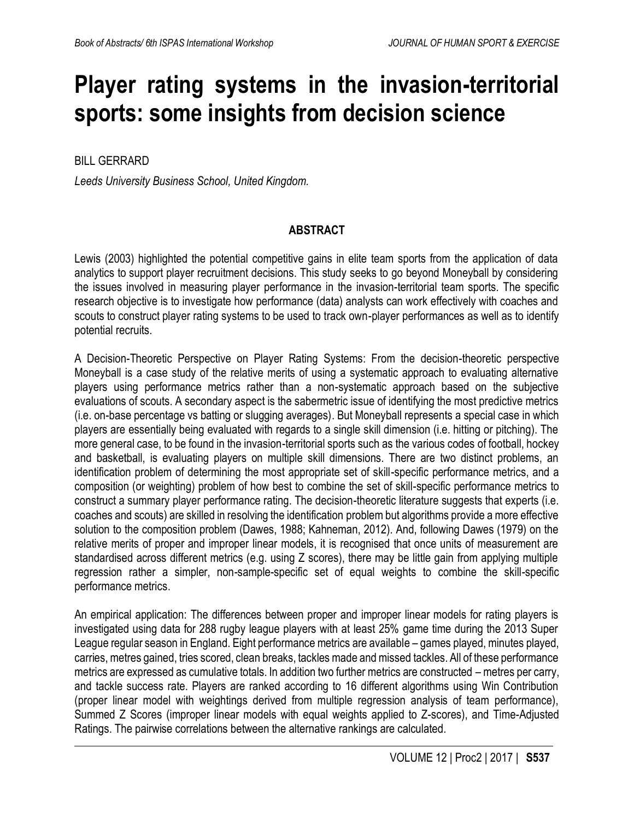## **Player rating systems in the invasion-territorial sports: some insights from decision science**

BILL GERRARD

*Leeds University Business School, United Kingdom.*

### **ABSTRACT**

Lewis (2003) highlighted the potential competitive gains in elite team sports from the application of data analytics to support player recruitment decisions. This study seeks to go beyond Moneyball by considering the issues involved in measuring player performance in the invasion-territorial team sports. The specific research objective is to investigate how performance (data) analysts can work effectively with coaches and scouts to construct player rating systems to be used to track own-player performances as well as to identify potential recruits.

A Decision-Theoretic Perspective on Player Rating Systems: From the decision-theoretic perspective Moneyball is a case study of the relative merits of using a systematic approach to evaluating alternative players using performance metrics rather than a non-systematic approach based on the subjective evaluations of scouts. A secondary aspect is the sabermetric issue of identifying the most predictive metrics (i.e. on-base percentage vs batting or slugging averages). But Moneyball represents a special case in which players are essentially being evaluated with regards to a single skill dimension (i.e. hitting or pitching). The more general case, to be found in the invasion-territorial sports such as the various codes of football, hockey and basketball, is evaluating players on multiple skill dimensions. There are two distinct problems, an identification problem of determining the most appropriate set of skill-specific performance metrics, and a composition (or weighting) problem of how best to combine the set of skill-specific performance metrics to construct a summary player performance rating. The decision-theoretic literature suggests that experts (i.e. coaches and scouts) are skilled in resolving the identification problem but algorithms provide a more effective solution to the composition problem (Dawes, 1988; Kahneman, 2012). And, following Dawes (1979) on the relative merits of proper and improper linear models, it is recognised that once units of measurement are standardised across different metrics (e.g. using Z scores), there may be little gain from applying multiple regression rather a simpler, non-sample-specific set of equal weights to combine the skill-specific performance metrics.

An empirical application: The differences between proper and improper linear models for rating players is investigated using data for 288 rugby league players with at least 25% game time during the 2013 Super League regular season in England. Eight performance metrics are available – games played, minutes played, carries, metres gained, tries scored, clean breaks, tackles made and missed tackles. All of these performance metrics are expressed as cumulative totals. In addition two further metrics are constructed – metres per carry, and tackle success rate. Players are ranked according to 16 different algorithms using Win Contribution (proper linear model with weightings derived from multiple regression analysis of team performance), Summed Z Scores (improper linear models with equal weights applied to Z-scores), and Time-Adjusted Ratings. The pairwise correlations between the alternative rankings are calculated.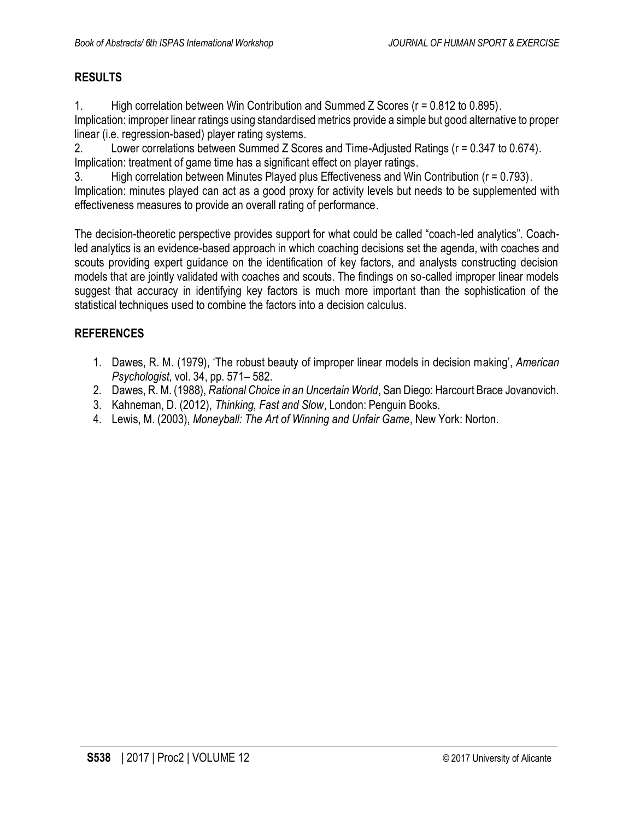## **RESULTS**

1. High correlation between Win Contribution and Summed Z Scores (r = 0.812 to 0.895). Implication: improper linear ratings using standardised metrics provide a simple but good alternative to proper linear (i.e. regression-based) player rating systems.

2. Lower correlations between Summed Z Scores and Time-Adjusted Ratings (r = 0.347 to 0.674). Implication: treatment of game time has a significant effect on player ratings.

3. High correlation between Minutes Played plus Effectiveness and Win Contribution (r = 0.793). Implication: minutes played can act as a good proxy for activity levels but needs to be supplemented with effectiveness measures to provide an overall rating of performance.

The decision-theoretic perspective provides support for what could be called "coach-led analytics". Coachled analytics is an evidence-based approach in which coaching decisions set the agenda, with coaches and scouts providing expert guidance on the identification of key factors, and analysts constructing decision models that are jointly validated with coaches and scouts. The findings on so-called improper linear models suggest that accuracy in identifying key factors is much more important than the sophistication of the statistical techniques used to combine the factors into a decision calculus.

- 1. Dawes, R. M. (1979), 'The robust beauty of improper linear models in decision making', *American Psychologist*, vol. 34, pp. 571– 582.
- 2. Dawes, R. M. (1988), *Rational Choice in an Uncertain World*, San Diego: Harcourt Brace Jovanovich.
- 3. Kahneman, D. (2012), *Thinking, Fast and Slow*, London: Penguin Books.
- 4. Lewis, M. (2003), *Moneyball: The Art of Winning and Unfair Game*, New York: Norton.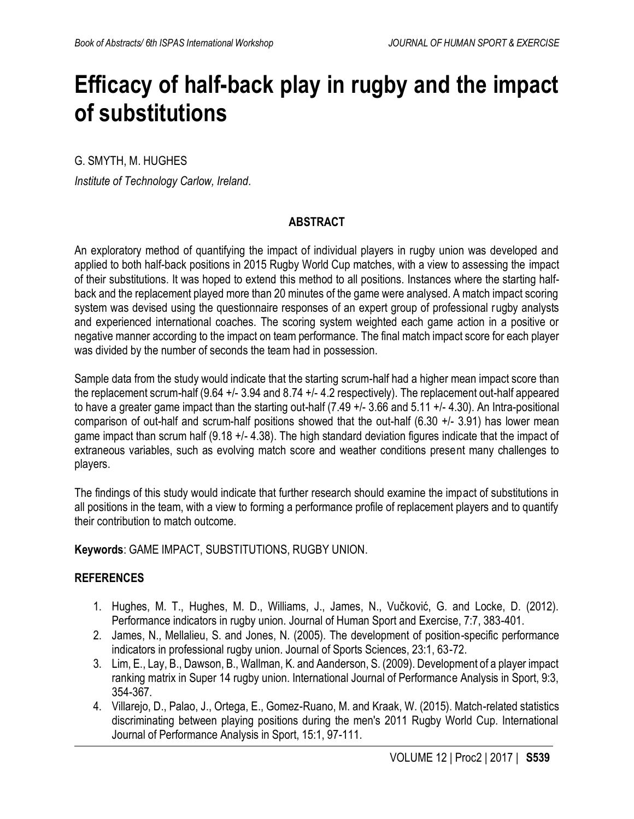## **Efficacy of half-back play in rugby and the impact of substitutions**

G. SMYTH, M. HUGHES

*Institute of Technology Carlow, Ireland.*

### **ABSTRACT**

An exploratory method of quantifying the impact of individual players in rugby union was developed and applied to both half-back positions in 2015 Rugby World Cup matches, with a view to assessing the impact of their substitutions. It was hoped to extend this method to all positions. Instances where the starting halfback and the replacement played more than 20 minutes of the game were analysed. A match impact scoring system was devised using the questionnaire responses of an expert group of professional rugby analysts and experienced international coaches. The scoring system weighted each game action in a positive or negative manner according to the impact on team performance. The final match impact score for each player was divided by the number of seconds the team had in possession.

Sample data from the study would indicate that the starting scrum-half had a higher mean impact score than the replacement scrum-half (9.64 +/- 3.94 and 8.74 +/- 4.2 respectively). The replacement out-half appeared to have a greater game impact than the starting out-half (7.49 +/- 3.66 and 5.11 +/- 4.30). An Intra-positional comparison of out-half and scrum-half positions showed that the out-half (6.30 +/- 3.91) has lower mean game impact than scrum half (9.18 +/- 4.38). The high standard deviation figures indicate that the impact of extraneous variables, such as evolving match score and weather conditions present many challenges to players.

The findings of this study would indicate that further research should examine the impact of substitutions in all positions in the team, with a view to forming a performance profile of replacement players and to quantify their contribution to match outcome.

**Keywords**: GAME IMPACT, SUBSTITUTIONS, RUGBY UNION.

- 1. Hughes, M. T., Hughes, M. D., Williams, J., James, N., Vučković, G. and Locke, D. (2012). Performance indicators in rugby union. Journal of Human Sport and Exercise, 7:7, 383-401.
- 2. James, N., Mellalieu, S. and Jones, N. (2005). The development of position-specific performance indicators in professional rugby union. Journal of Sports Sciences, 23:1, 63-72.
- 3. Lim, E., Lay, B., Dawson, B., Wallman, K. and Aanderson, S. (2009). Development of a player impact ranking matrix in Super 14 rugby union. International Journal of Performance Analysis in Sport, 9:3, 354-367.
- 4. Villarejo, D., Palao, J., Ortega, E., Gomez-Ruano, M. and Kraak, W. (2015). Match-related statistics discriminating between playing positions during the men's 2011 Rugby World Cup. International Journal of Performance Analysis in Sport, 15:1, 97-111.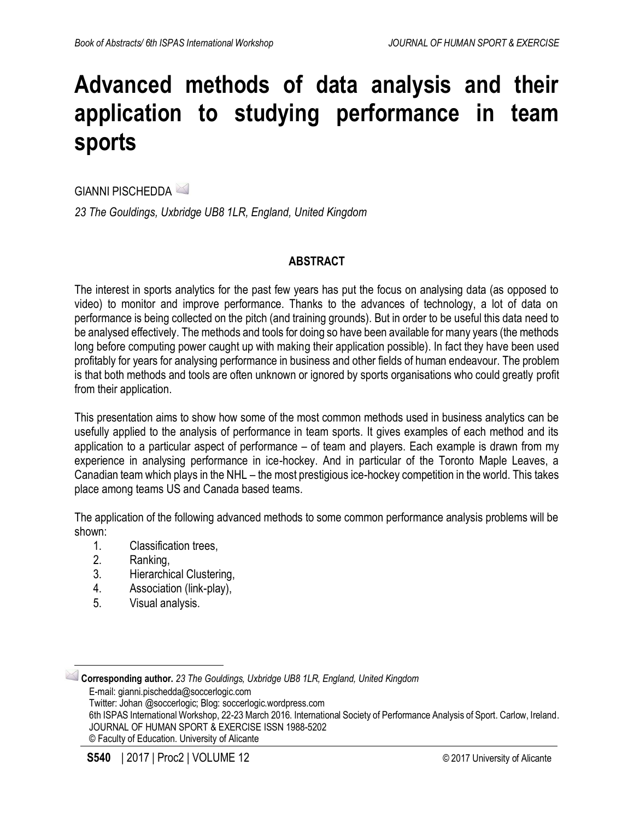## **Advanced methods of data analysis and their application to studying performance in team sports**

GIANNI PISCHEDDA <sup>2</sup>

*23 The Gouldings, Uxbridge UB8 1LR, England, United Kingdom*

### **ABSTRACT**

The interest in sports analytics for the past few years has put the focus on analysing data (as opposed to video) to monitor and improve performance. Thanks to the advances of technology, a lot of data on performance is being collected on the pitch (and training grounds). But in order to be useful this data need to be analysed effectively. The methods and tools for doing so have been available for many years (the methods long before computing power caught up with making their application possible). In fact they have been used profitably for years for analysing performance in business and other fields of human endeavour. The problem is that both methods and tools are often unknown or ignored by sports organisations who could greatly profit from their application.

This presentation aims to show how some of the most common methods used in business analytics can be usefully applied to the analysis of performance in team sports. It gives examples of each method and its application to a particular aspect of performance – of team and players. Each example is drawn from my experience in analysing performance in ice-hockey. And in particular of the Toronto Maple Leaves, a Canadian team which plays in the NHL – the most prestigious ice-hockey competition in the world. This takes place among teams US and Canada based teams.

The application of the following advanced methods to some common performance analysis problems will be shown:

- 1. Classification trees,
- 2. Ranking,

 $\overline{a}$ 

- 3. Hierarchical Clustering,
- 4. Association (link-play),
- 5. Visual analysis.

**Corresponding author.** *23 The Gouldings, Uxbridge UB8 1LR, England, United Kingdom*  E-mail: gianni.pischedda@soccerlogic.com Twitter: Johan @soccerlogic; Blog: soccerlogic.wordpress.com 6th ISPAS International Workshop, 22-23 March 2016. International Society of Performance Analysis of Sport. Carlow, Ireland. JOURNAL OF HUMAN SPORT & EXERCISE ISSN 1988-5202 © Faculty of Education. University of Alicante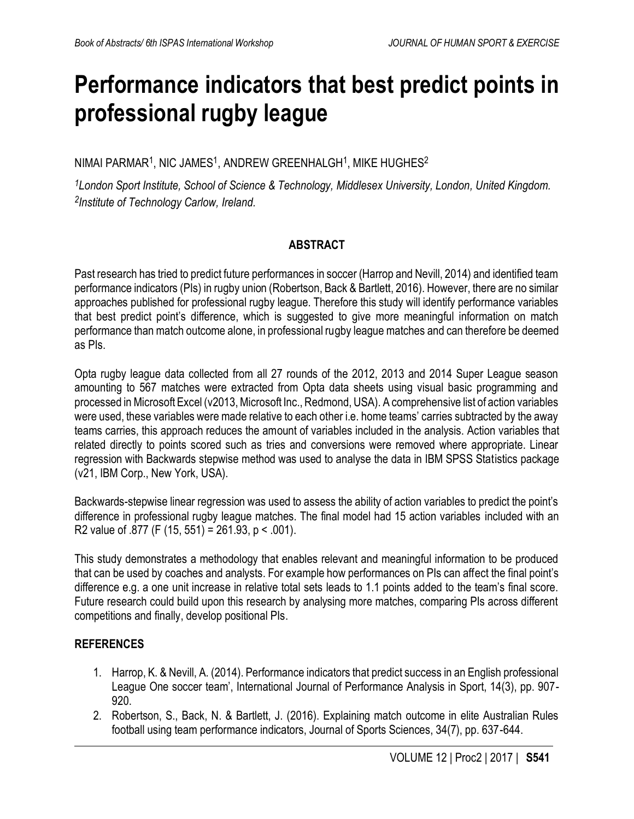## **Performance indicators that best predict points in professional rugby league**

NIMAI PARMAR $^{\rm 1}$ , NIC JAMES $^{\rm 1}$ , ANDREW GREENHALGH $^{\rm 1}$ , MIKE HUGHES $^{\rm 2}$ 

*<sup>1</sup>London Sport Institute, School of Science & Technology, Middlesex University, London, United Kingdom. 2 Institute of Technology Carlow, Ireland.*

### **ABSTRACT**

Past research has tried to predict future performances in soccer (Harrop and Nevill, 2014) and identified team performance indicators (PIs) in rugby union (Robertson, Back & Bartlett, 2016). However, there are no similar approaches published for professional rugby league. Therefore this study will identify performance variables that best predict point's difference, which is suggested to give more meaningful information on match performance than match outcome alone, in professional rugby league matches and can therefore be deemed as PIs.

Opta rugby league data collected from all 27 rounds of the 2012, 2013 and 2014 Super League season amounting to 567 matches were extracted from Opta data sheets using visual basic programming and processed in Microsoft Excel (v2013, Microsoft Inc., Redmond, USA). A comprehensive list of action variables were used, these variables were made relative to each other i.e. home teams' carries subtracted by the away teams carries, this approach reduces the amount of variables included in the analysis. Action variables that related directly to points scored such as tries and conversions were removed where appropriate. Linear regression with Backwards stepwise method was used to analyse the data in IBM SPSS Statistics package (v21, IBM Corp., New York, USA).

Backwards-stepwise linear regression was used to assess the ability of action variables to predict the point's difference in professional rugby league matches. The final model had 15 action variables included with an R2 value of  $.877$  (F (15, 551) = 261.93, p < .001).

This study demonstrates a methodology that enables relevant and meaningful information to be produced that can be used by coaches and analysts. For example how performances on PIs can affect the final point's difference e.g. a one unit increase in relative total sets leads to 1.1 points added to the team's final score. Future research could build upon this research by analysing more matches, comparing PIs across different competitions and finally, develop positional PIs.

- 1. Harrop, K. & Nevill, A. (2014). Performance indicators that predict success in an English professional League One soccer team', International Journal of Performance Analysis in Sport, 14(3), pp. 907- 920.
- 2. Robertson, S., Back, N. & Bartlett, J. (2016). Explaining match outcome in elite Australian Rules football using team performance indicators, Journal of Sports Sciences, 34(7), pp. 637-644.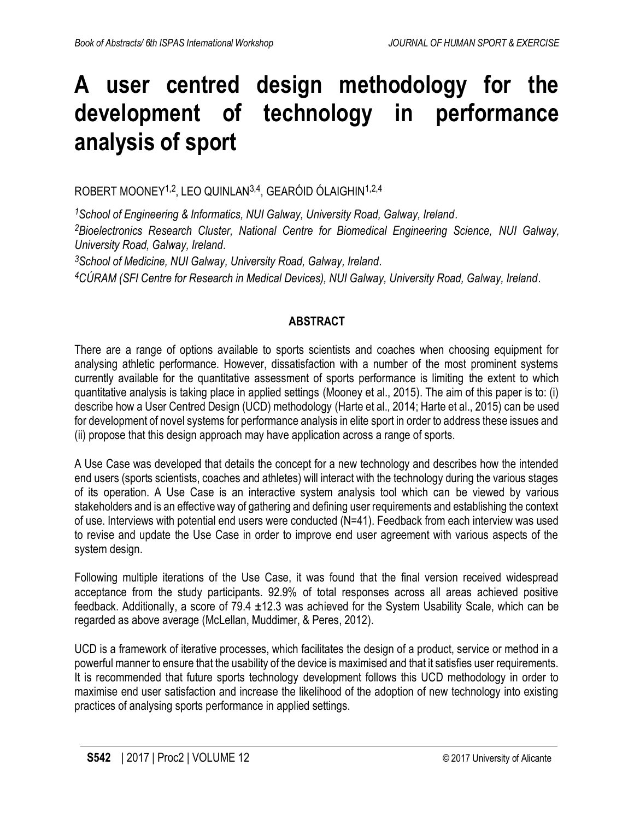## **A user centred design methodology for the development of technology in performance analysis of sport**

ROBERT MOONEY<sup>1,2</sup>, LEO QUINLAN<sup>3,4</sup>, GEARÓID ÓLAIGHIN<sup>1,2,4</sup>

*<sup>1</sup>School of Engineering & Informatics, NUI Galway, University Road, Galway, Ireland. <sup>2</sup>Bioelectronics Research Cluster, National Centre for Biomedical Engineering Science, NUI Galway, University Road, Galway, Ireland.*

*<sup>3</sup>School of Medicine, NUI Galway, University Road, Galway, Ireland.*

*<sup>4</sup>CÚRAM (SFI Centre for Research in Medical Devices), NUI Galway, University Road, Galway, Ireland.*

## **ABSTRACT**

There are a range of options available to sports scientists and coaches when choosing equipment for analysing athletic performance. However, dissatisfaction with a number of the most prominent systems currently available for the quantitative assessment of sports performance is limiting the extent to which quantitative analysis is taking place in applied settings [\(Mooney et al., 2015\)](#page-13-0). The aim of this paper is to: (i) describe how a User Centred Design (UCD) methodology [\(Harte et al., 2014;](#page-13-1) [Harte et al., 2015\)](#page-13-2) can be used for development of novel systems for performance analysis in elite sport in order to address these issues and (ii) propose that this design approach may have application across a range of sports.

A Use Case was developed that details the concept for a new technology and describes how the intended end users (sports scientists, coaches and athletes) will interact with the technology during the various stages of its operation. A Use Case is an interactive system analysis tool which can be viewed by various stakeholders and is an effective way of gathering and defining user requirements and establishing the context of use. Interviews with potential end users were conducted (N=41). Feedback from each interview was used to revise and update the Use Case in order to improve end user agreement with various aspects of the system design.

Following multiple iterations of the Use Case, it was found that the final version received widespread acceptance from the study participants. 92.9% of total responses across all areas achieved positive feedback. Additionally, a score of 79.4 ±12.3 was achieved for the System Usability Scale, which can be regarded as above average [\(McLellan, Muddimer, & Peres, 2012\)](#page-13-3).

UCD is a framework of iterative processes, which facilitates the design of a product, service or method in a powerful manner to ensure that the usability of the device is maximised and that it satisfies user requirements. It is recommended that future sports technology development follows this UCD methodology in order to maximise end user satisfaction and increase the likelihood of the adoption of new technology into existing practices of analysing sports performance in applied settings.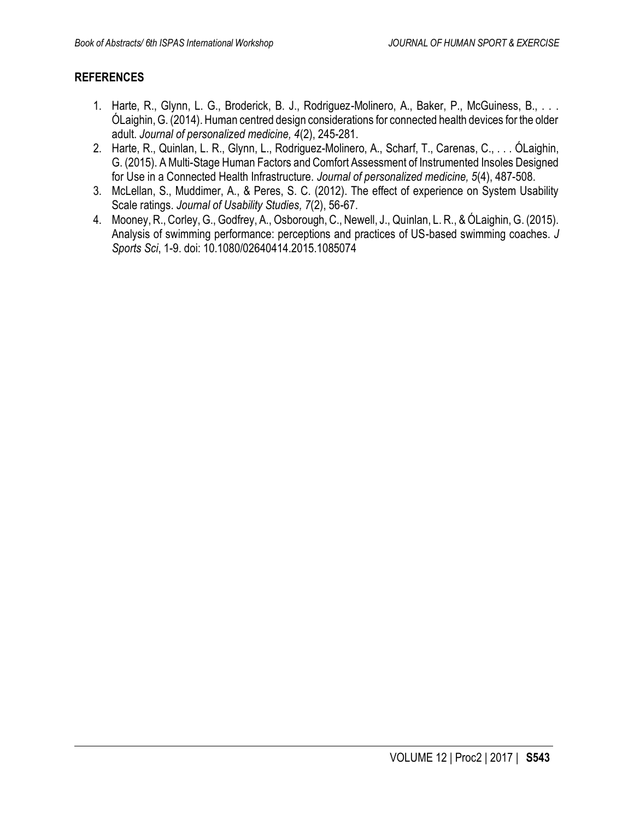- <span id="page-13-1"></span>1. Harte, R., Glynn, L. G., Broderick, B. J., Rodriguez-Molinero, A., Baker, P., McGuiness, B., . . . ÓLaighin, G. (2014). Human centred design considerations for connected health devices for the older adult. *Journal of personalized medicine, 4*(2), 245-281.
- <span id="page-13-2"></span>2. Harte, R., Quinlan, L. R., Glynn, L., Rodriguez-Molinero, A., Scharf, T., Carenas, C., . . . ÓLaighin, G. (2015). A Multi-Stage Human Factors and Comfort Assessment of Instrumented Insoles Designed for Use in a Connected Health Infrastructure. *Journal of personalized medicine, 5*(4), 487-508.
- <span id="page-13-3"></span>3. McLellan, S., Muddimer, A., & Peres, S. C. (2012). The effect of experience on System Usability Scale ratings. *Journal of Usability Studies, 7*(2), 56-67.
- <span id="page-13-0"></span>4. Mooney, R., Corley, G., Godfrey, A., Osborough, C., Newell, J., Quinlan, L. R., & ÓLaighin, G. (2015). Analysis of swimming performance: perceptions and practices of US-based swimming coaches. *J Sports Sci*, 1-9. doi: 10.1080/02640414.2015.1085074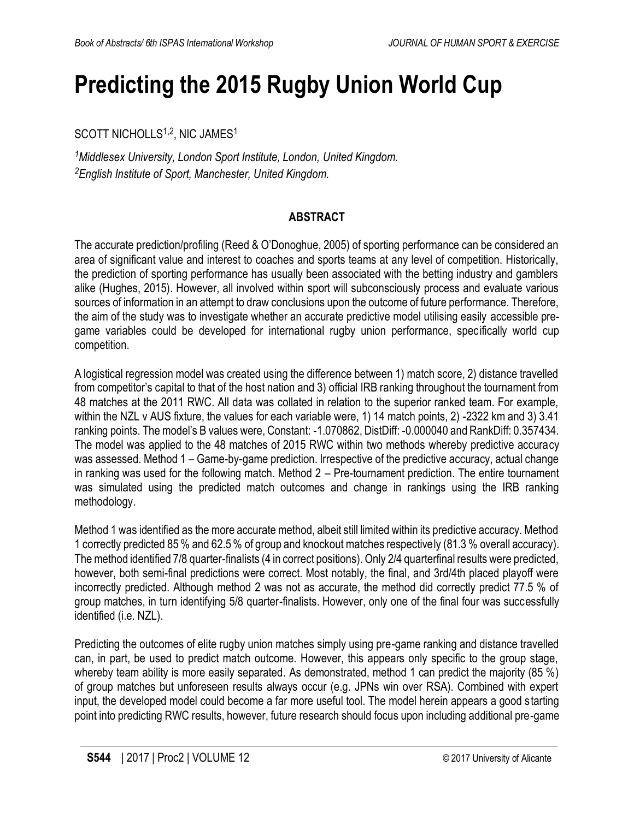## **Predicting the 2015 Rugby Union World Cup**

SCOTT NICHOLLS<sup>1,2</sup>, NIC JAMES<sup>1</sup>

*<sup>1</sup>Middlesex University, London Sport Institute, London, United Kingdom. <sup>2</sup>English Institute of Sport, Manchester, United Kingdom.*

### **ABSTRACT**

The accurate prediction/profiling (Reed & O'Donoghue, 2005) of sporting performance can be considered an area of significant value and interest to coaches and sports teams at any level of competition. Historically, the prediction of sporting performance has usually been associated with the betting industry and gamblers alike (Hughes, 2015). However, all involved within sport will subconsciously process and evaluate various sources of information in an attempt to draw conclusions upon the outcome of future performance. Therefore, the aim of the study was to investigate whether an accurate predictive model utilising easily accessible pregame variables could be developed for international rugby union performance, specifically world cup competition.

A logistical regression model was created using the difference between 1) match score, 2) distance travelled from competitor's capital to that of the host nation and 3) official IRB ranking throughout the tournament from 48 matches at the 2011 RWC. All data was collated in relation to the superior ranked team. For example, within the NZL v AUS fixture, the values for each variable were, 1) 14 match points, 2) -2322 km and 3) 3.41 ranking points. The model's B values were, Constant: -1.070862, DistDiff: -0.000040 and RankDiff: 0.357434. The model was applied to the 48 matches of 2015 RWC within two methods whereby predictive accuracy was assessed. Method 1 – Game-by-game prediction. Irrespective of the predictive accuracy, actual change in ranking was used for the following match. Method 2 – Pre-tournament prediction. The entire tournament was simulated using the predicted match outcomes and change in rankings using the IRB ranking methodology.

Method 1 was identified as the more accurate method, albeit still limited within its predictive accuracy. Method 1 correctly predicted 85 % and 62.5 % of group and knockout matches respectively (81.3 % overall accuracy). The method identified 7/8 quarter-finalists (4 in correct positions). Only 2/4 quarterfinal results were predicted, however, both semi-final predictions were correct. Most notably, the final, and 3rd/4th placed playoff were incorrectly predicted. Although method 2 was not as accurate, the method did correctly predict 77.5 % of group matches, in turn identifying 5/8 quarter-finalists. However, only one of the final four was successfully identified (i.e. NZL).

Predicting the outcomes of elite rugby union matches simply using pre-game ranking and distance travelled can, in part, be used to predict match outcome. However, this appears only specific to the group stage, whereby team ability is more easily separated. As demonstrated, method 1 can predict the majority (85 %) of group matches but unforeseen results always occur (e.g. JPNs win over RSA). Combined with expert input, the developed model could become a far more useful tool. The model herein appears a good starting point into predicting RWC results, however, future research should focus upon including additional pre-game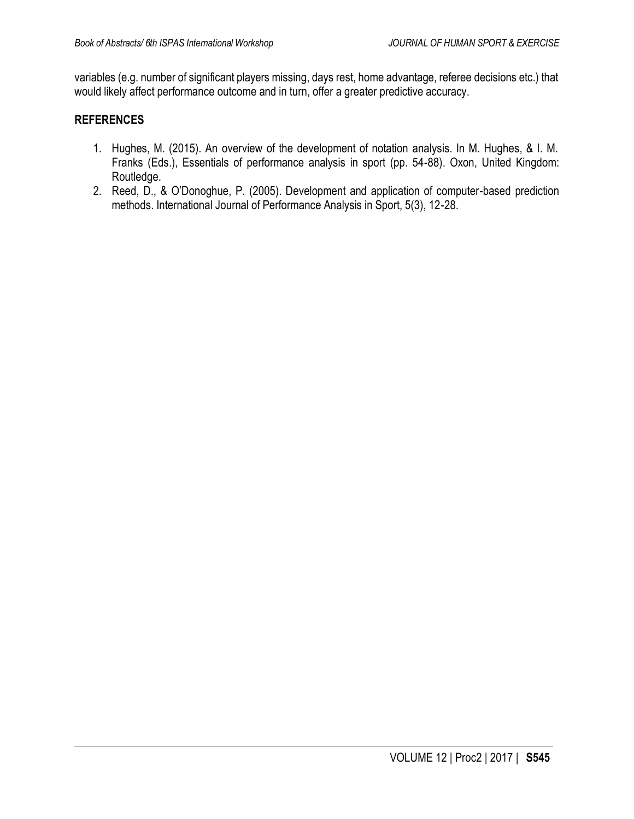variables (e.g. number of significant players missing, days rest, home advantage, referee decisions etc.) that would likely affect performance outcome and in turn, offer a greater predictive accuracy.

- 1. Hughes, M. (2015). An overview of the development of notation analysis. In M. Hughes, & I. M. Franks (Eds.), Essentials of performance analysis in sport (pp. 54-88). Oxon, United Kingdom: Routledge.
- 2. Reed, D., & O'Donoghue, P. (2005). Development and application of computer-based prediction methods. International Journal of Performance Analysis in Sport, 5(3), 12-28.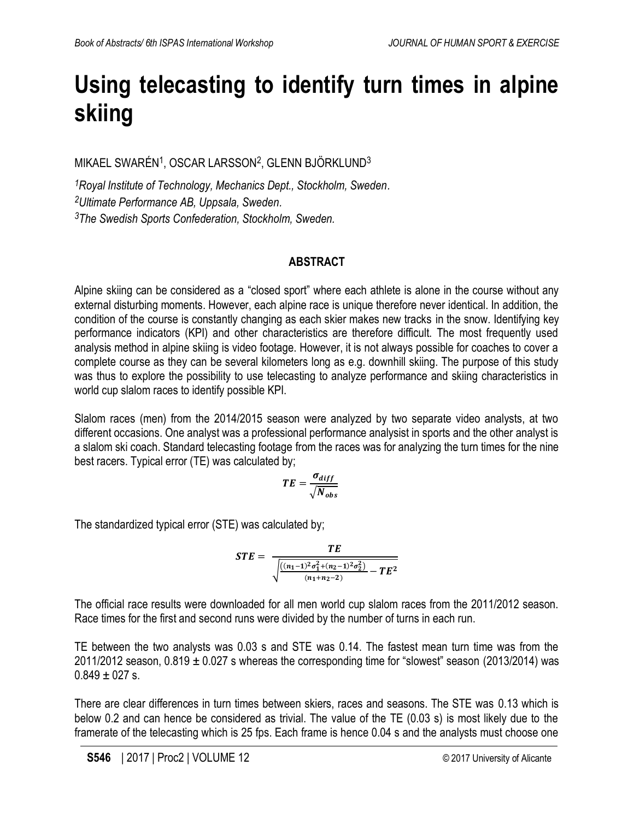# **Using telecasting to identify turn times in alpine skiing**

MIKAEL SWARÉN<sup>1</sup>, OSCAR LARSSON<sup>2</sup>, GLENN BJÖRKLUND<sup>3</sup>

*<sup>1</sup>Royal Institute of Technology, Mechanics Dept., Stockholm, Sweden. <sup>2</sup>Ultimate Performance AB, Uppsala, Sweden. <sup>3</sup>The Swedish Sports Confederation, Stockholm, Sweden.*

## **ABSTRACT**

Alpine skiing can be considered as a "closed sport" where each athlete is alone in the course without any external disturbing moments. However, each alpine race is unique therefore never identical. In addition, the condition of the course is constantly changing as each skier makes new tracks in the snow. Identifying key performance indicators (KPI) and other characteristics are therefore difficult. The most frequently used analysis method in alpine skiing is video footage. However, it is not always possible for coaches to cover a complete course as they can be several kilometers long as e.g. downhill skiing. The purpose of this study was thus to explore the possibility to use telecasting to analyze performance and skiing characteristics in world cup slalom races to identify possible KPI.

Slalom races (men) from the 2014/2015 season were analyzed by two separate video analysts, at two different occasions. One analyst was a professional performance analysist in sports and the other analyst is a slalom ski coach. Standard telecasting footage from the races was for analyzing the turn times for the nine best racers. Typical error (TE) was calculated by;

$$
TE = \frac{\sigma_{diff}}{\sqrt{N_{obs}}}
$$

The standardized typical error (STE) was calculated by;

$$
STE = \frac{TE}{\sqrt{\frac{((n_1-1)^2\sigma_1^2 + (n_2-1)^2\sigma_2^2)}{(n_1+n_2-2)} - TE^2}}
$$

The official race results were downloaded for all men world cup slalom races from the 2011/2012 season. Race times for the first and second runs were divided by the number of turns in each run.

TE between the two analysts was 0.03 s and STE was 0.14. The fastest mean turn time was from the 2011/2012 season,  $0.819 \pm 0.027$  s whereas the corresponding time for "slowest" season (2013/2014) was  $0.849 \pm 0.27$  s.

There are clear differences in turn times between skiers, races and seasons. The STE was 0.13 which is below 0.2 and can hence be considered as trivial. The value of the TE (0.03 s) is most likely due to the framerate of the telecasting which is 25 fps. Each frame is hence 0.04 s and the analysts must choose one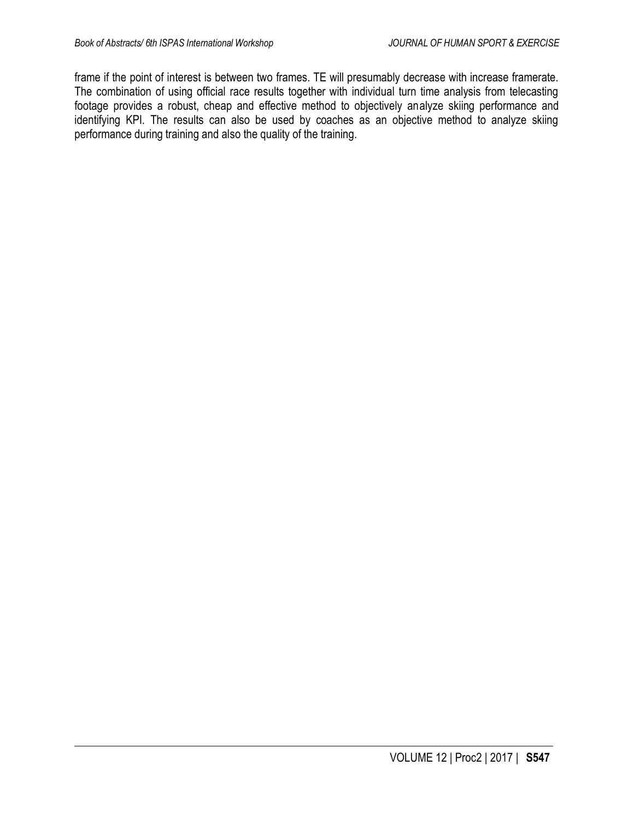frame if the point of interest is between two frames. TE will presumably decrease with increase framerate. The combination of using official race results together with individual turn time analysis from telecasting footage provides a robust, cheap and effective method to objectively analyze skiing performance and identifying KPI. The results can also be used by coaches as an objective method to analyze skiing performance during training and also the quality of the training.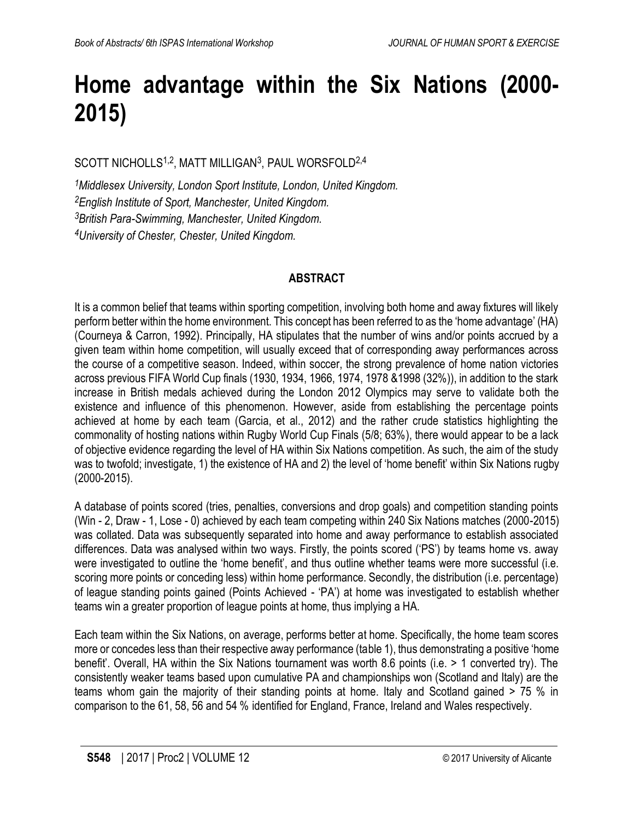# **Home advantage within the Six Nations (2000- 2015)**

SCOTT NICHOLLS<sup>1,2</sup>, MATT MILLIGAN<sup>3</sup>, PAUL WORSFOLD<sup>2,4</sup>

*Middlesex University, London Sport Institute, London, United Kingdom. English Institute of Sport, Manchester, United Kingdom. British Para-Swimming, Manchester, United Kingdom. University of Chester, Chester, United Kingdom.*

### **ABSTRACT**

It is a common belief that teams within sporting competition, involving both home and away fixtures will likely perform better within the home environment. This concept has been referred to as the 'home advantage' (HA) (Courneya & Carron, 1992). Principally, HA stipulates that the number of wins and/or points accrued by a given team within home competition, will usually exceed that of corresponding away performances across the course of a competitive season. Indeed, within soccer, the strong prevalence of home nation victories across previous FIFA World Cup finals (1930, 1934, 1966, 1974, 1978 &1998 (32%)), in addition to the stark increase in British medals achieved during the London 2012 Olympics may serve to validate both the existence and influence of this phenomenon. However, aside from establishing the percentage points achieved at home by each team (Garcia, et al., 2012) and the rather crude statistics highlighting the commonality of hosting nations within Rugby World Cup Finals (5/8; 63%), there would appear to be a lack of objective evidence regarding the level of HA within Six Nations competition. As such, the aim of the study was to twofold; investigate, 1) the existence of HA and 2) the level of 'home benefit' within Six Nations rugby (2000-2015).

A database of points scored (tries, penalties, conversions and drop goals) and competition standing points (Win - 2, Draw - 1, Lose - 0) achieved by each team competing within 240 Six Nations matches (2000-2015) was collated. Data was subsequently separated into home and away performance to establish associated differences. Data was analysed within two ways. Firstly, the points scored ('PS') by teams home vs. away were investigated to outline the 'home benefit', and thus outline whether teams were more successful (i.e. scoring more points or conceding less) within home performance. Secondly, the distribution (i.e. percentage) of league standing points gained (Points Achieved - 'PA') at home was investigated to establish whether teams win a greater proportion of league points at home, thus implying a HA.

Each team within the Six Nations, on average, performs better at home. Specifically, the home team scores more or concedes less than their respective away performance (table 1), thus demonstrating a positive 'home benefit'. Overall, HA within the Six Nations tournament was worth 8.6 points (i.e. > 1 converted try). The consistently weaker teams based upon cumulative PA and championships won (Scotland and Italy) are the teams whom gain the majority of their standing points at home. Italy and Scotland gained > 75 % in comparison to the 61, 58, 56 and 54 % identified for England, France, Ireland and Wales respectively.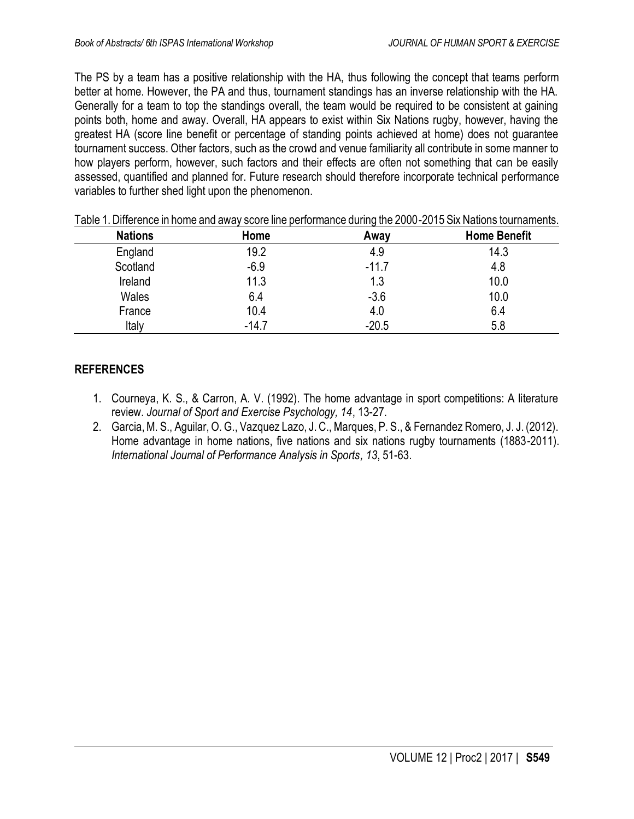The PS by a team has a positive relationship with the HA, thus following the concept that teams perform better at home. However, the PA and thus, tournament standings has an inverse relationship with the HA. Generally for a team to top the standings overall, the team would be required to be consistent at gaining points both, home and away. Overall, HA appears to exist within Six Nations rugby, however, having the greatest HA (score line benefit or percentage of standing points achieved at home) does not guarantee tournament success. Other factors, such as the crowd and venue familiarity all contribute in some manner to how players perform, however, such factors and their effects are often not something that can be easily assessed, quantified and planned for. Future research should therefore incorporate technical performance variables to further shed light upon the phenomenon.

| <b>Nations</b> | Home    | Away    | <b>Home Benefit</b> |
|----------------|---------|---------|---------------------|
| England        | 19.2    | 4.9     | 14.3                |
| Scotland       | $-6.9$  | $-11.7$ | 4.8                 |
| Ireland        | 11.3    | 1.3     | 10.0                |
| Wales          | 6.4     | $-3.6$  | 10.0                |
| France         | 10.4    | 4.0     | 6.4                 |
| Italy          | $-14.7$ | $-20.5$ | 5.8                 |

| Table 1. Difference in home and away score line performance during the 2000-2015 Six Nations tournaments. |
|-----------------------------------------------------------------------------------------------------------|
|-----------------------------------------------------------------------------------------------------------|

- 1. Courneya, K. S., & Carron, A. V. (1992). The home advantage in sport competitions: A literature review. *Journal of Sport and Exercise Psychology, 14*, 13-27.
- 2. Garcia, M. S., Aguilar, O. G., Vazquez Lazo, J. C., Marques, P. S., & Fernandez Romero, J. J. (2012). Home advantage in home nations, five nations and six nations rugby tournaments (1883-2011). *International Journal of Performance Analysis in Sports, 13*, 51-63.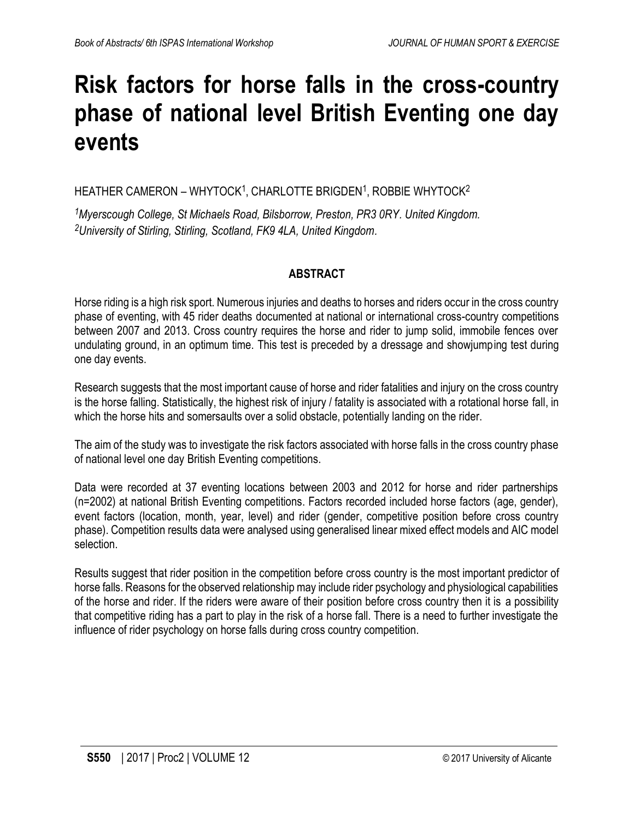## **Risk factors for horse falls in the cross-country phase of national level British Eventing one day events**

HEATHER CAMERON – WHYTOCK<sup>1</sup>, CHARLOTTE BRIGDEN<sup>1</sup>, ROBBIE WHYTOCK<sup>2</sup>

*<sup>1</sup>Myerscough College, St Michaels Road, Bilsborrow, Preston, PR3 0RY. United Kingdom. <sup>2</sup>University of Stirling, Stirling, Scotland, FK9 4LA, United Kingdom.*

## **ABSTRACT**

Horse riding is a high risk sport. Numerous injuries and deaths to horses and riders occur in the cross country phase of eventing, with 45 rider deaths documented at national or international cross-country competitions between 2007 and 2013. Cross country requires the horse and rider to jump solid, immobile fences over undulating ground, in an optimum time. This test is preceded by a dressage and showjumping test during one day events.

Research suggests that the most important cause of horse and rider fatalities and injury on the cross country is the horse falling. Statistically, the highest risk of injury / fatality is associated with a rotational horse fall, in which the horse hits and somersaults over a solid obstacle, potentially landing on the rider.

The aim of the study was to investigate the risk factors associated with horse falls in the cross country phase of national level one day British Eventing competitions.

Data were recorded at 37 eventing locations between 2003 and 2012 for horse and rider partnerships (n=2002) at national British Eventing competitions. Factors recorded included horse factors (age, gender), event factors (location, month, year, level) and rider (gender, competitive position before cross country phase). Competition results data were analysed using generalised linear mixed effect models and AIC model selection.

Results suggest that rider position in the competition before cross country is the most important predictor of horse falls. Reasons for the observed relationship may include rider psychology and physiological capabilities of the horse and rider. If the riders were aware of their position before cross country then it is a possibility that competitive riding has a part to play in the risk of a horse fall. There is a need to further investigate the influence of rider psychology on horse falls during cross country competition.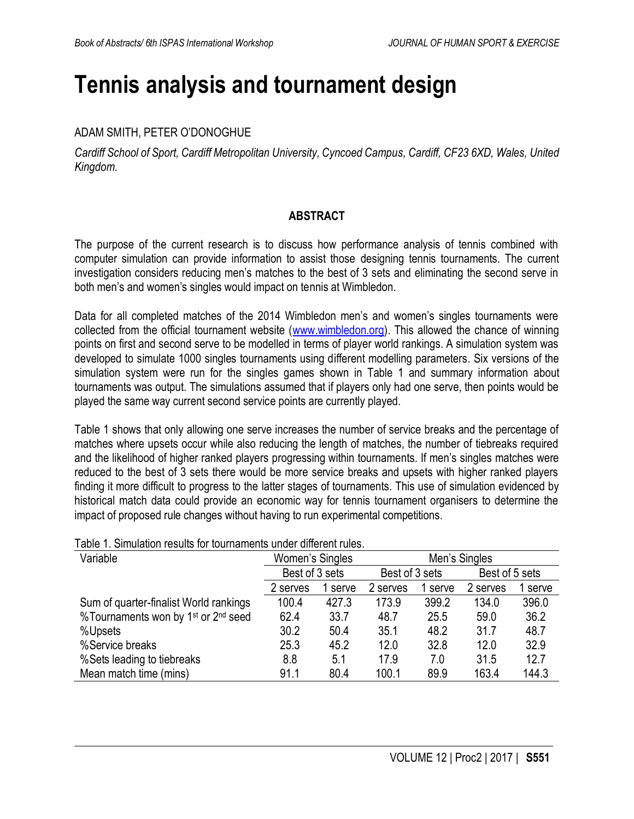## **Tennis analysis and tournament design**

## ADAM SMITH, PETER O'DONOGHUE

*Cardiff School of Sport, Cardiff Metropolitan University, Cyncoed Campus, Cardiff, CF23 6XD, Wales, United Kingdom.*

### **ABSTRACT**

The purpose of the current research is to discuss how performance analysis of tennis combined with computer simulation can provide information to assist those designing tennis tournaments. The current investigation considers reducing men's matches to the best of 3 sets and eliminating the second serve in both men's and women's singles would impact on tennis at Wimbledon.

Data for all completed matches of the 2014 Wimbledon men's and women's singles tournaments were collected from the official tournament website [\(www.wimbledon.org\)](http://www.wimbledon.org/). This allowed the chance of winning points on first and second serve to be modelled in terms of player world rankings. A simulation system was developed to simulate 1000 singles tournaments using different modelling parameters. Six versions of the simulation system were run for the singles games shown in Table 1 and summary information about tournaments was output. The simulations assumed that if players only had one serve, then points would be played the same way current second service points are currently played.

Table 1 shows that only allowing one serve increases the number of service breaks and the percentage of matches where upsets occur while also reducing the length of matches, the number of tiebreaks required and the likelihood of higher ranked players progressing within tournaments. If men's singles matches were reduced to the best of 3 sets there would be more service breaks and upsets with higher ranked players finding it more difficult to progress to the latter stages of tournaments. This use of simulation evidenced by historical match data could provide an economic way for tennis tournament organisers to determine the impact of proposed rule changes without having to run experimental competitions.

| ו טאוס דו. סווווטוטווטוו וטטטונט וטו נטטוווטווטוונט טוועטו טוווטוטווניט. |                 |       |                |       |                |         |
|--------------------------------------------------------------------------|-----------------|-------|----------------|-------|----------------|---------|
| Variable                                                                 | Women's Singles |       | Men's Singles  |       |                |         |
|                                                                          | Best of 3 sets  |       | Best of 3 sets |       | Best of 5 sets |         |
|                                                                          | 2 serves        | serve | 2 serves       | serve | 2 serves       | 1 serve |
| Sum of quarter-finalist World rankings                                   | 100.4           | 427.3 | 173.9          | 399.2 | 134.0          | 396.0   |
| %Tournaments won by 1 <sup>st</sup> or 2 <sup>nd</sup> seed              | 62.4            | 33.7  | 48.7           | 25.5  | 59.0           | 36.2    |
| %Upsets                                                                  | 30.2            | 50.4  | 35.1           | 48.2  | 31.7           | 48.7    |
| %Service breaks                                                          | 25.3            | 45.2  | 12.0           | 32.8  | 12.0           | 32.9    |
| %Sets leading to tiebreaks                                               | 8.8             | 5.1   | 17.9           | 7.0   | 31.5           | 12.7    |
| Mean match time (mins)                                                   | 91.1            | 80.4  | 100.1          | 89.9  | 163.4          | 144.3   |

## Table 1. Simulation results for tournaments under different rules.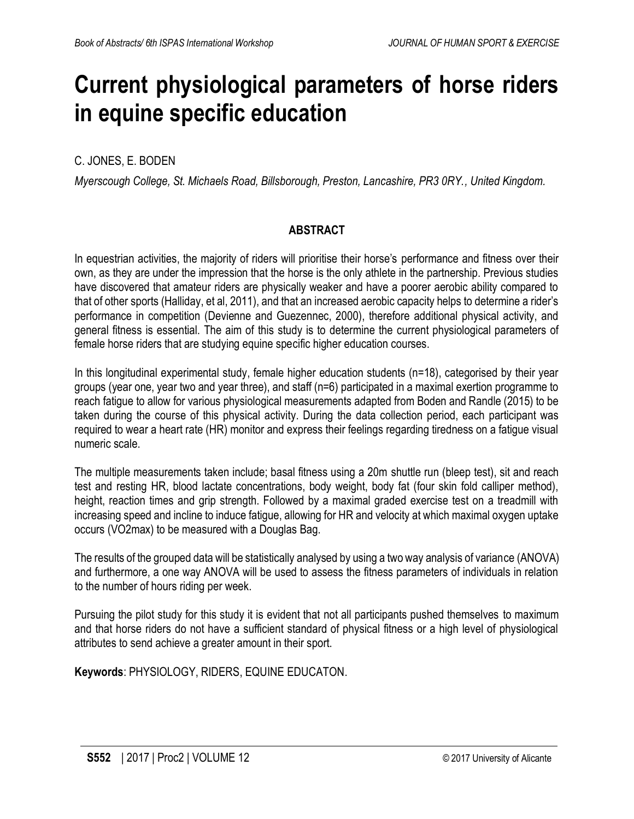## **Current physiological parameters of horse riders in equine specific education**

## C. JONES, E. BODEN

*Myerscough College, St. Michaels Road, Billsborough, Preston, Lancashire, PR3 0RY., United Kingdom.*

### **ABSTRACT**

In equestrian activities, the majority of riders will prioritise their horse's performance and fitness over their own, as they are under the impression that the horse is the only athlete in the partnership. Previous studies have discovered that amateur riders are physically weaker and have a poorer aerobic ability compared to that of other sports (Halliday, et al, 2011), and that an increased aerobic capacity helps to determine a rider's performance in competition (Devienne and Guezennec, 2000), therefore additional physical activity, and general fitness is essential. The aim of this study is to determine the current physiological parameters of female horse riders that are studying equine specific higher education courses.

In this longitudinal experimental study, female higher education students (n=18), categorised by their year groups (year one, year two and year three), and staff (n=6) participated in a maximal exertion programme to reach fatigue to allow for various physiological measurements adapted from Boden and Randle (2015) to be taken during the course of this physical activity. During the data collection period, each participant was required to wear a heart rate (HR) monitor and express their feelings regarding tiredness on a fatigue visual numeric scale.

The multiple measurements taken include; basal fitness using a 20m shuttle run (bleep test), sit and reach test and resting HR, blood lactate concentrations, body weight, body fat (four skin fold calliper method), height, reaction times and grip strength. Followed by a maximal graded exercise test on a treadmill with increasing speed and incline to induce fatigue, allowing for HR and velocity at which maximal oxygen uptake occurs (VO2max) to be measured with a Douglas Bag.

The results of the grouped data will be statistically analysed by using a two way analysis of variance (ANOVA) and furthermore, a one way ANOVA will be used to assess the fitness parameters of individuals in relation to the number of hours riding per week.

Pursuing the pilot study for this study it is evident that not all participants pushed themselves to maximum and that horse riders do not have a sufficient standard of physical fitness or a high level of physiological attributes to send achieve a greater amount in their sport.

**Keywords**: PHYSIOLOGY, RIDERS, EQUINE EDUCATON.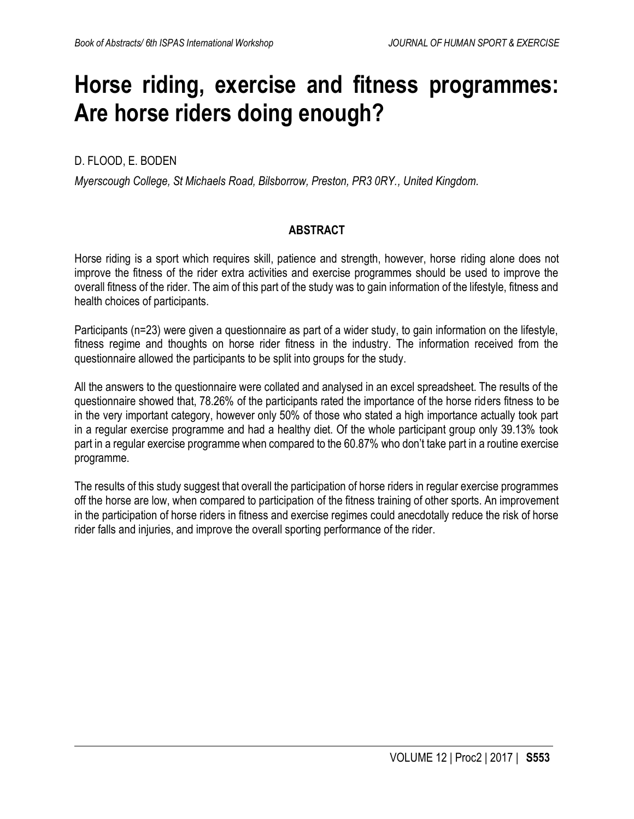## **Horse riding, exercise and fitness programmes: Are horse riders doing enough?**

## D. FLOOD, E. BODEN

*Myerscough College, St Michaels Road, Bilsborrow, Preston, PR3 0RY., United Kingdom.*

### **ABSTRACT**

Horse riding is a sport which requires skill, patience and strength, however, horse riding alone does not improve the fitness of the rider extra activities and exercise programmes should be used to improve the overall fitness of the rider. The aim of this part of the study was to gain information of the lifestyle, fitness and health choices of participants.

Participants (n=23) were given a questionnaire as part of a wider study, to gain information on the lifestyle, fitness regime and thoughts on horse rider fitness in the industry. The information received from the questionnaire allowed the participants to be split into groups for the study.

All the answers to the questionnaire were collated and analysed in an excel spreadsheet. The results of the questionnaire showed that, 78.26% of the participants rated the importance of the horse riders fitness to be in the very important category, however only 50% of those who stated a high importance actually took part in a regular exercise programme and had a healthy diet. Of the whole participant group only 39.13% took part in a regular exercise programme when compared to the 60.87% who don't take part in a routine exercise programme.

The results of this study suggest that overall the participation of horse riders in regular exercise programmes off the horse are low, when compared to participation of the fitness training of other sports. An improvement in the participation of horse riders in fitness and exercise regimes could anecdotally reduce the risk of horse rider falls and injuries, and improve the overall sporting performance of the rider.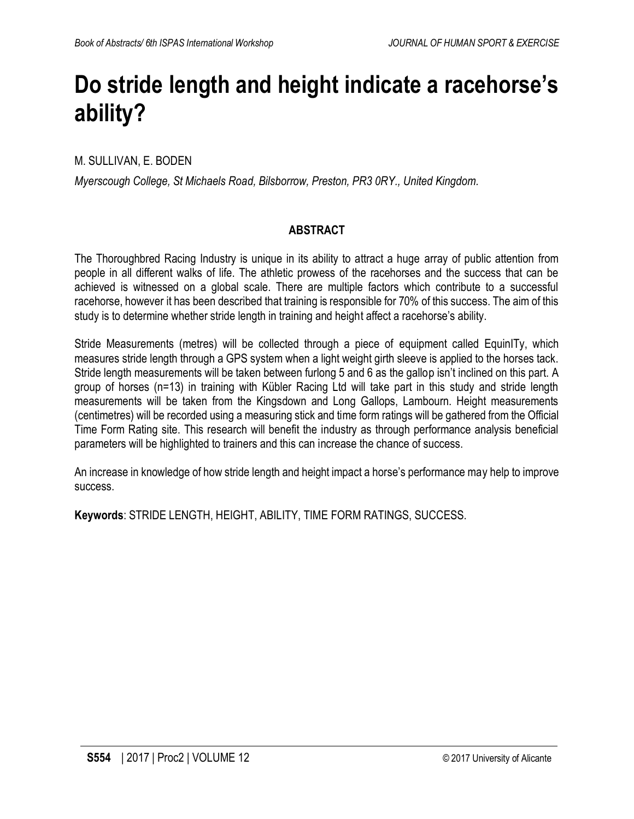## **Do stride length and height indicate a racehorse's ability?**

M. SULLIVAN, E. BODEN

*Myerscough College, St Michaels Road, Bilsborrow, Preston, PR3 0RY., United Kingdom.*

### **ABSTRACT**

The Thoroughbred Racing Industry is unique in its ability to attract a huge array of public attention from people in all different walks of life. The athletic prowess of the racehorses and the success that can be achieved is witnessed on a global scale. There are multiple factors which contribute to a successful racehorse, however it has been described that training is responsible for 70% of this success. The aim of this study is to determine whether stride length in training and height affect a racehorse's ability.

Stride Measurements (metres) will be collected through a piece of equipment called EquinITy, which measures stride length through a GPS system when a light weight girth sleeve is applied to the horses tack. Stride length measurements will be taken between furlong 5 and 6 as the gallop isn't inclined on this part. A group of horses (n=13) in training with Kübler Racing Ltd will take part in this study and stride length measurements will be taken from the Kingsdown and Long Gallops, Lambourn. Height measurements (centimetres) will be recorded using a measuring stick and time form ratings will be gathered from the Official Time Form Rating site. This research will benefit the industry as through performance analysis beneficial parameters will be highlighted to trainers and this can increase the chance of success.

An increase in knowledge of how stride length and height impact a horse's performance may help to improve success.

**Keywords**: STRIDE LENGTH, HEIGHT, ABILITY, TIME FORM RATINGS, SUCCESS.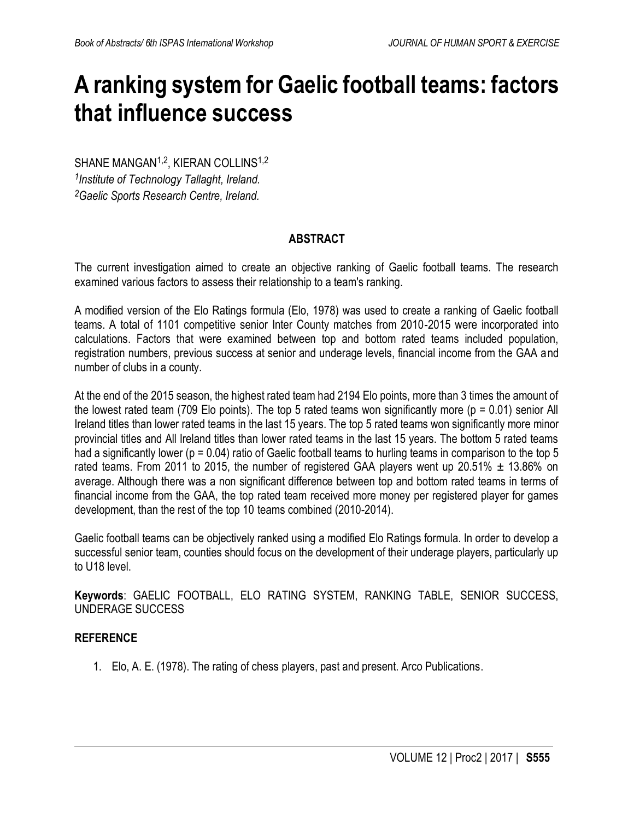## **A ranking system for Gaelic football teams: factors that influence success**

SHANE MANGAN<sup>1,2</sup>, KIERAN COLLINS<sup>1,2</sup> *1 Institute of Technology Tallaght, Ireland. <sup>2</sup>Gaelic Sports Research Centre, Ireland.*

### **ABSTRACT**

The current investigation aimed to create an objective ranking of Gaelic football teams. The research examined various factors to assess their relationship to a team's ranking.

A modified version of the Elo Ratings formula (Elo, 1978) was used to create a ranking of Gaelic football teams. A total of 1101 competitive senior Inter County matches from 2010-2015 were incorporated into calculations. Factors that were examined between top and bottom rated teams included population, registration numbers, previous success at senior and underage levels, financial income from the GAA and number of clubs in a county.

At the end of the 2015 season, the highest rated team had 2194 Elo points, more than 3 times the amount of the lowest rated team (709 Elo points). The top 5 rated teams won significantly more ( $p = 0.01$ ) senior All Ireland titles than lower rated teams in the last 15 years. The top 5 rated teams won significantly more minor provincial titles and All Ireland titles than lower rated teams in the last 15 years. The bottom 5 rated teams had a significantly lower (p = 0.04) ratio of Gaelic football teams to hurling teams in comparison to the top 5 rated teams. From 2011 to 2015, the number of registered GAA players went up 20.51%  $\pm$  13.86% on average. Although there was a non significant difference between top and bottom rated teams in terms of financial income from the GAA, the top rated team received more money per registered player for games development, than the rest of the top 10 teams combined (2010-2014).

Gaelic football teams can be objectively ranked using a modified Elo Ratings formula. In order to develop a successful senior team, counties should focus on the development of their underage players, particularly up to U18 level.

**Keywords**: GAELIC FOOTBALL, ELO RATING SYSTEM, RANKING TABLE, SENIOR SUCCESS, UNDERAGE SUCCESS

#### **REFERENCE**

1. Elo, A. E. (1978). The rating of chess players, past and present. Arco Publications.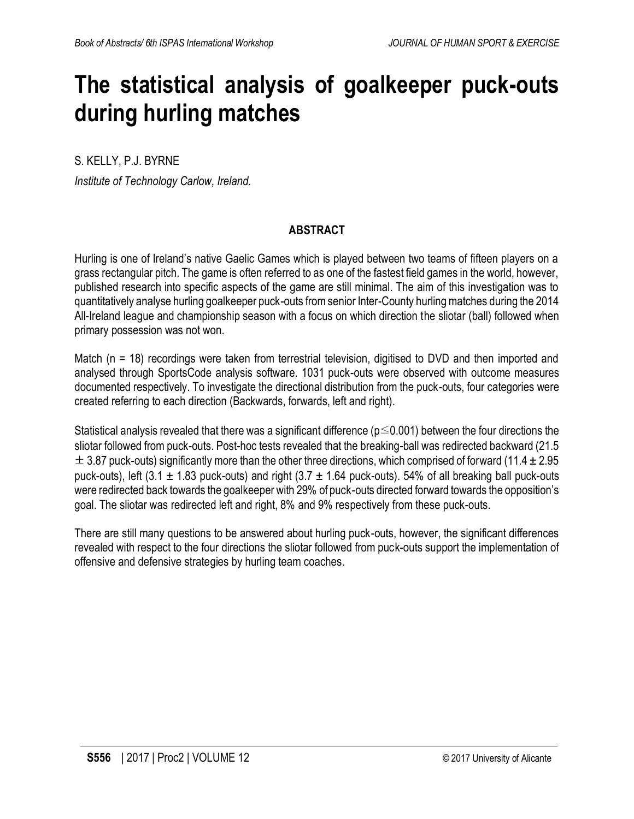## **The statistical analysis of goalkeeper puck-outs during hurling matches**

S. KELLY, P.J. BYRNE

*Institute of Technology Carlow, Ireland.*

### **ABSTRACT**

Hurling is one of Ireland's native Gaelic Games which is played between two teams of fifteen players on a grass rectangular pitch. The game is often referred to as one of the fastest field games in the world, however, published research into specific aspects of the game are still minimal. The aim of this investigation was to quantitatively analyse hurling goalkeeper puck-outs from senior Inter-County hurling matches during the 2014 All-Ireland league and championship season with a focus on which direction the sliotar (ball) followed when primary possession was not won.

Match (n = 18) recordings were taken from terrestrial television, digitised to DVD and then imported and analysed through SportsCode analysis software. 1031 puck-outs were observed with outcome measures documented respectively. To investigate the directional distribution from the puck-outs, four categories were created referring to each direction (Backwards, forwards, left and right).

Statistical analysis revealed that there was a significant difference ( $p \leq 0.001$ ) between the four directions the sliotar followed from puck-outs. Post-hoc tests revealed that the breaking-ball was redirected backward (21.5  $\pm$  3.87 puck-outs) significantly more than the other three directions, which comprised of forward (11.4  $\pm$  2.95 puck-outs), left (3.1  $\pm$  1.83 puck-outs) and right (3.7  $\pm$  1.64 puck-outs). 54% of all breaking ball puck-outs were redirected back towards the goalkeeper with 29% of puck-outs directed forward towards the opposition's goal. The sliotar was redirected left and right, 8% and 9% respectively from these puck-outs.

There are still many questions to be answered about hurling puck-outs, however, the significant differences revealed with respect to the four directions the sliotar followed from puck-outs support the implementation of offensive and defensive strategies by hurling team coaches.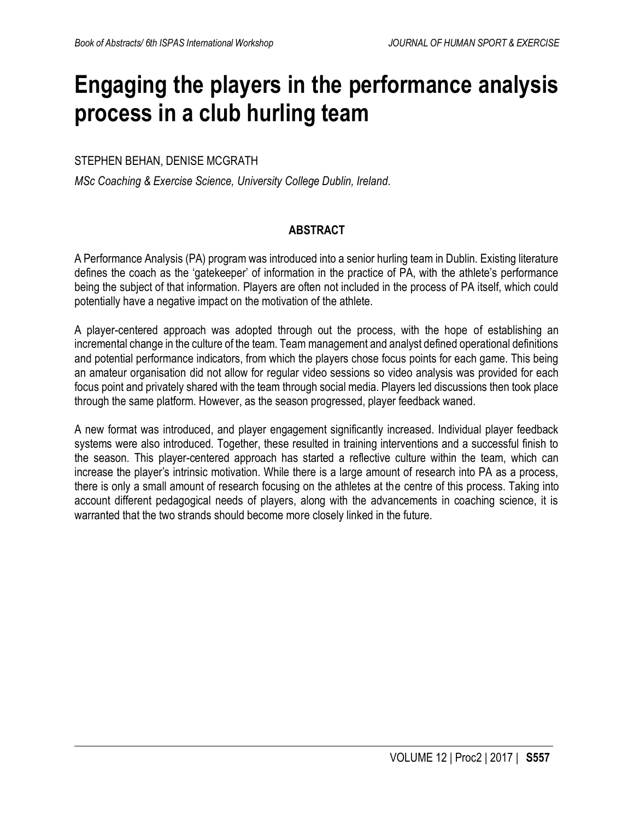## **Engaging the players in the performance analysis process in a club hurling team**

### STEPHEN BEHAN, DENISE MCGRATH

*MSc Coaching & Exercise Science, University College Dublin, Ireland.*

### **ABSTRACT**

A Performance Analysis (PA) program was introduced into a senior hurling team in Dublin. Existing literature defines the coach as the 'gatekeeper' of information in the practice of PA, with the athlete's performance being the subject of that information. Players are often not included in the process of PA itself, which could potentially have a negative impact on the motivation of the athlete.

A player-centered approach was adopted through out the process, with the hope of establishing an incremental change in the culture of the team. Team management and analyst defined operational definitions and potential performance indicators, from which the players chose focus points for each game. This being an amateur organisation did not allow for regular video sessions so video analysis was provided for each focus point and privately shared with the team through social media. Players led discussions then took place through the same platform. However, as the season progressed, player feedback waned.

A new format was introduced, and player engagement significantly increased. Individual player feedback systems were also introduced. Together, these resulted in training interventions and a successful finish to the season. This player-centered approach has started a reflective culture within the team, which can increase the player's intrinsic motivation. While there is a large amount of research into PA as a process, there is only a small amount of research focusing on the athletes at the centre of this process. Taking into account different pedagogical needs of players, along with the advancements in coaching science, it is warranted that the two strands should become more closely linked in the future.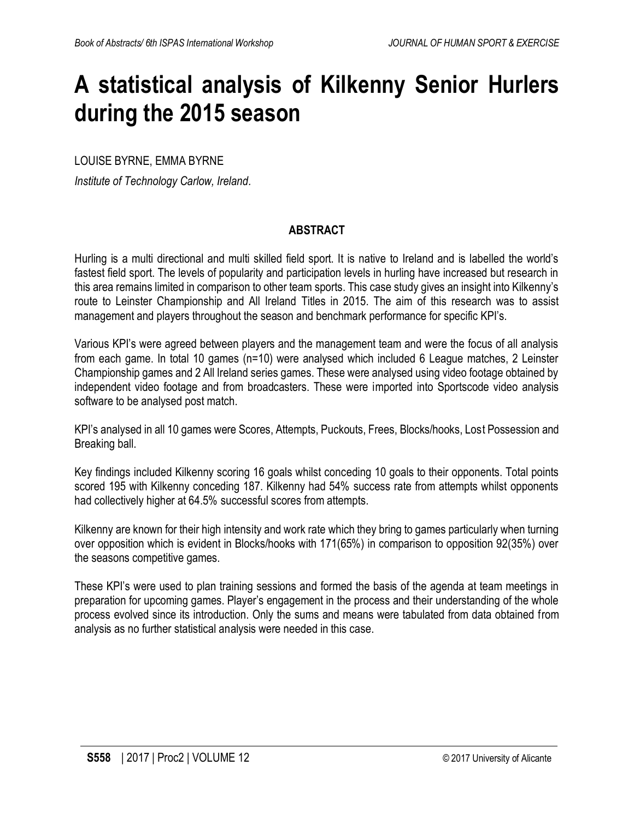## **A statistical analysis of Kilkenny Senior Hurlers during the 2015 season**

LOUISE BYRNE, EMMA BYRNE

*Institute of Technology Carlow, Ireland.*

### **ABSTRACT**

Hurling is a multi directional and multi skilled field sport. It is native to Ireland and is labelled the world's fastest field sport. The levels of popularity and participation levels in hurling have increased but research in this area remains limited in comparison to other team sports. This case study gives an insight into Kilkenny's route to Leinster Championship and All Ireland Titles in 2015. The aim of this research was to assist management and players throughout the season and benchmark performance for specific KPI's.

Various KPI's were agreed between players and the management team and were the focus of all analysis from each game. In total 10 games (n=10) were analysed which included 6 League matches, 2 Leinster Championship games and 2 All Ireland series games. These were analysed using video footage obtained by independent video footage and from broadcasters. These were imported into Sportscode video analysis software to be analysed post match.

KPI's analysed in all 10 games were Scores, Attempts, Puckouts, Frees, Blocks/hooks, Lost Possession and Breaking ball.

Key findings included Kilkenny scoring 16 goals whilst conceding 10 goals to their opponents. Total points scored 195 with Kilkenny conceding 187. Kilkenny had 54% success rate from attempts whilst opponents had collectively higher at 64.5% successful scores from attempts.

Kilkenny are known for their high intensity and work rate which they bring to games particularly when turning over opposition which is evident in Blocks/hooks with 171(65%) in comparison to opposition 92(35%) over the seasons competitive games.

These KPI's were used to plan training sessions and formed the basis of the agenda at team meetings in preparation for upcoming games. Player's engagement in the process and their understanding of the whole process evolved since its introduction. Only the sums and means were tabulated from data obtained from analysis as no further statistical analysis were needed in this case.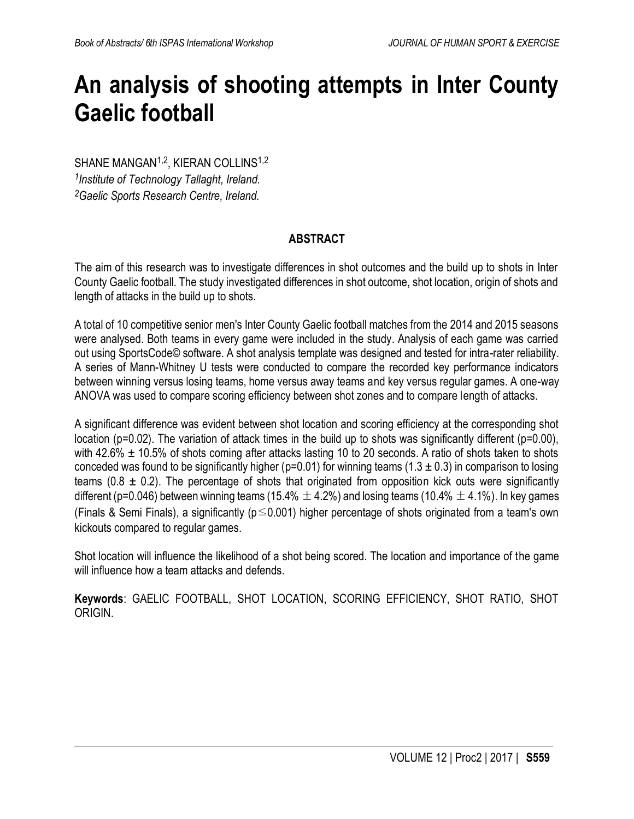## **An analysis of shooting attempts in Inter County Gaelic football**

SHANE MANGAN<sup>1,2</sup>, KIERAN COLLINS<sup>1,2</sup> *1 Institute of Technology Tallaght, Ireland. <sup>2</sup>Gaelic Sports Research Centre, Ireland.*

## **ABSTRACT**

The aim of this research was to investigate differences in shot outcomes and the build up to shots in Inter County Gaelic football. The study investigated differences in shot outcome, shot location, origin of shots and length of attacks in the build up to shots.

A total of 10 competitive senior men's Inter County Gaelic football matches from the 2014 and 2015 seasons were analysed. Both teams in every game were included in the study. Analysis of each game was carried out using SportsCode© software. A shot analysis template was designed and tested for intra-rater reliability. A series of Mann-Whitney U tests were conducted to compare the recorded key performance indicators between winning versus losing teams, home versus away teams and key versus regular games. A one-way ANOVA was used to compare scoring efficiency between shot zones and to compare length of attacks.

A significant difference was evident between shot location and scoring efficiency at the corresponding shot location (p=0.02). The variation of attack times in the build up to shots was significantly different (p=0.00), with 42.6%  $\pm$  10.5% of shots coming after attacks lasting 10 to 20 seconds. A ratio of shots taken to shots conceded was found to be significantly higher (p=0.01) for winning teams (1.3  $\pm$  0.3) in comparison to losing teams (0.8  $\pm$  0.2). The percentage of shots that originated from opposition kick outs were significantly different (p=0.046) between winning teams (15.4%  $\pm$  4.2%) and losing teams (10.4%  $\pm$  4.1%). In key games (Finals & Semi Finals), a significantly (p≤0.001) higher percentage of shots originated from a team's own kickouts compared to regular games.

Shot location will influence the likelihood of a shot being scored. The location and importance of the game will influence how a team attacks and defends.

**Keywords**: GAELIC FOOTBALL, SHOT LOCATION, SCORING EFFICIENCY, SHOT RATIO, SHOT ORIGIN.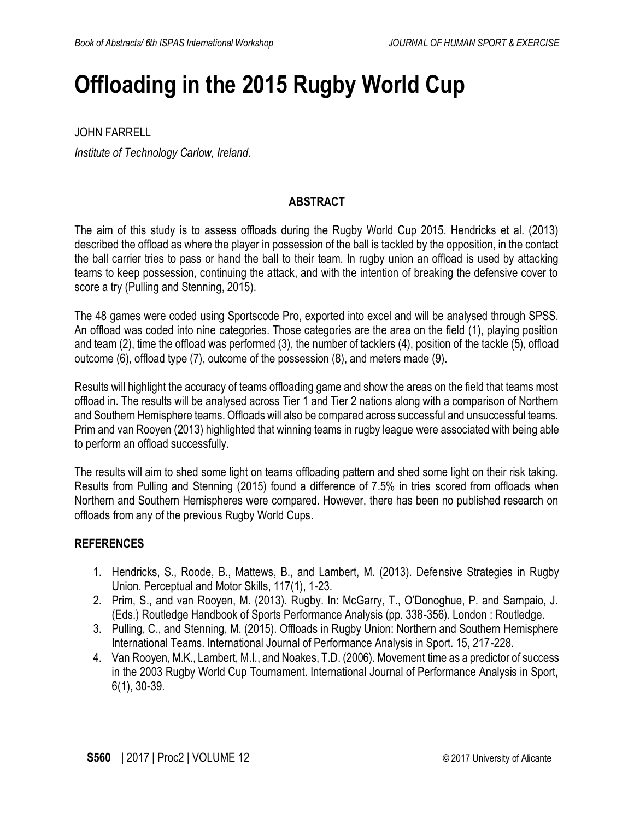## **Offloading in the 2015 Rugby World Cup**

JOHN FARRELL *Institute of Technology Carlow, Ireland.*

### **ABSTRACT**

The aim of this study is to assess offloads during the Rugby World Cup 2015. Hendricks et al. (2013) described the offload as where the player in possession of the ball is tackled by the opposition, in the contact the ball carrier tries to pass or hand the ball to their team. In rugby union an offload is used by attacking teams to keep possession, continuing the attack, and with the intention of breaking the defensive cover to score a try (Pulling and Stenning, 2015).

The 48 games were coded using Sportscode Pro, exported into excel and will be analysed through SPSS. An offload was coded into nine categories. Those categories are the area on the field (1), playing position and team (2), time the offload was performed (3), the number of tacklers (4), position of the tackle (5), offload outcome (6), offload type (7), outcome of the possession (8), and meters made (9).

Results will highlight the accuracy of teams offloading game and show the areas on the field that teams most offload in. The results will be analysed across Tier 1 and Tier 2 nations along with a comparison of Northern and Southern Hemisphere teams. Offloads will also be compared across successful and unsuccessful teams. Prim and van Rooyen (2013) highlighted that winning teams in rugby league were associated with being able to perform an offload successfully.

The results will aim to shed some light on teams offloading pattern and shed some light on their risk taking. Results from Pulling and Stenning (2015) found a difference of 7.5% in tries scored from offloads when Northern and Southern Hemispheres were compared. However, there has been no published research on offloads from any of the previous Rugby World Cups.

- 1. Hendricks, S., Roode, B., Mattews, B., and Lambert, M. (2013). Defensive Strategies in Rugby Union. Perceptual and Motor Skills, 117(1), 1-23.
- 2. Prim, S., and van Rooyen, M. (2013). Rugby. In: McGarry, T., O'Donoghue, P. and Sampaio, J. (Eds.) Routledge Handbook of Sports Performance Analysis (pp. 338-356). London : Routledge.
- 3. Pulling, C., and Stenning, M. (2015). Offloads in Rugby Union: Northern and Southern Hemisphere International Teams. International Journal of Performance Analysis in Sport. 15, 217-228.
- 4. Van Rooyen, M.K., Lambert, M.I., and Noakes, T.D. (2006). Movement time as a predictor of success in the 2003 Rugby World Cup Tournament. International Journal of Performance Analysis in Sport, 6(1), 30-39.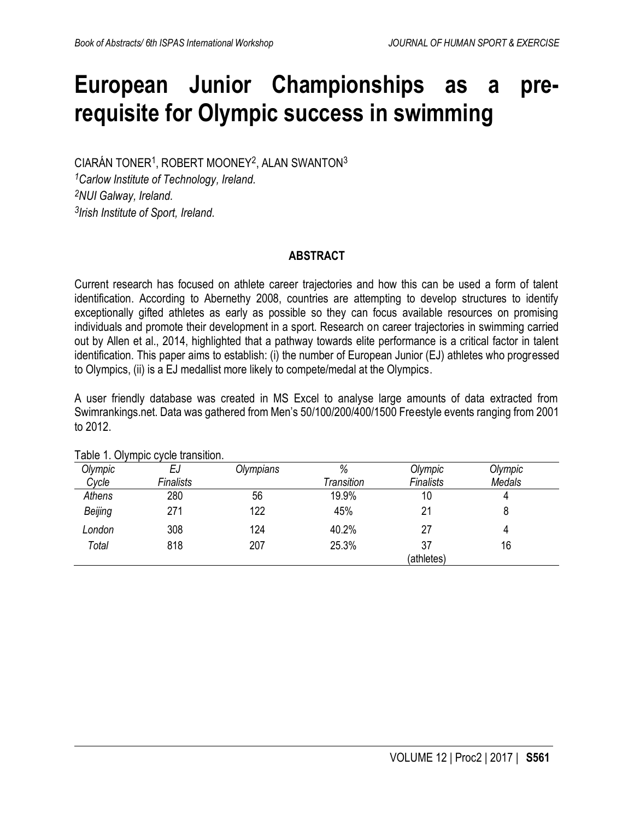## **European Junior Championships as a prerequisite for Olympic success in swimming**

CIARÁN TONER<sup>1</sup>, ROBERT MOONEY<sup>2</sup>, ALAN SWANTON<sup>3</sup>

*<sup>1</sup>Carlow Institute of Technology, Ireland. <sup>2</sup>NUI Galway, Ireland. 3 Irish Institute of Sport, Ireland.*

### **ABSTRACT**

Current research has focused on athlete career trajectories and how this can be used a form of talent identification. According to Abernethy 2008, countries are attempting to develop structures to identify exceptionally gifted athletes as early as possible so they can focus available resources on promising individuals and promote their development in a sport. Research on career trajectories in swimming carried out by Allen et al., 2014, highlighted that a pathway towards elite performance is a critical factor in talent identification. This paper aims to establish: (i) the number of European Junior (EJ) athletes who progressed to Olympics, (ii) is a EJ medallist more likely to compete/medal at the Olympics.

A user friendly database was created in MS Excel to analyse large amounts of data extracted from Swimrankings.net. Data was gathered from Men's 50/100/200/400/1500 Freestyle events ranging from 2001 to 2012.

| Olympic | EJ        | Olympians | %          | Olympic    | Olympic |
|---------|-----------|-----------|------------|------------|---------|
| Cycle   | Finalists |           | Transition | Finalists  | Medals  |
| Athens  | 280       | 56        | 19.9%      | 10         |         |
| Beijing | 271       | 122       | 45%        | 21         |         |
| London  | 308       | 124       | 40.2%      | 27         |         |
| Total   | 818       | 207       | 25.3%      | 37         | 16      |
|         |           |           |            | (athletes) |         |

Table 1. Olympic cycle transition.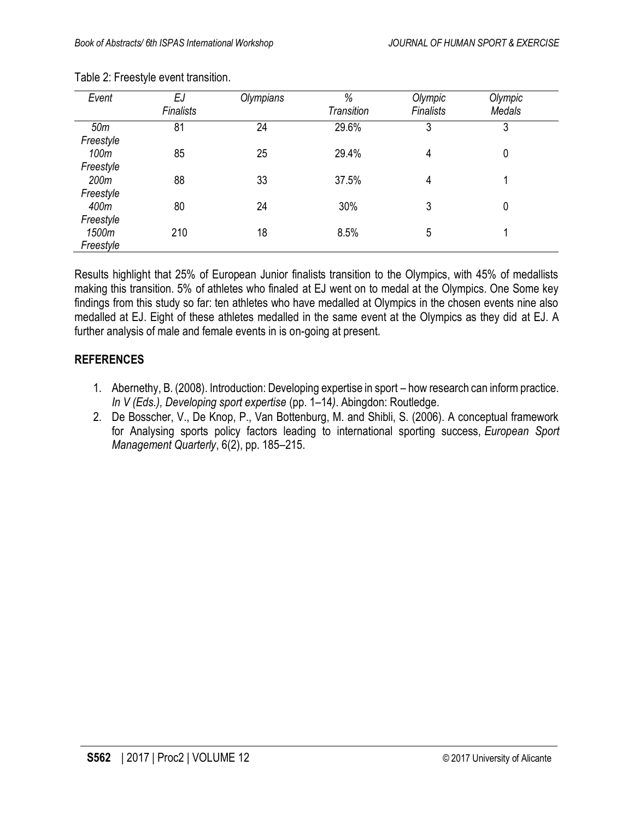| Event     | EJ        | Olympians | %                 | Olympic          | Olympic |  |
|-----------|-----------|-----------|-------------------|------------------|---------|--|
|           | Finalists |           | <b>Transition</b> | <b>Finalists</b> | Medals  |  |
| 50m       | 81        | 24        | 29.6%             | 3                | 3       |  |
| Freestyle |           |           |                   |                  |         |  |
| 100m      | 85        | 25        | 29.4%             | 4                | 0       |  |
| Freestyle |           |           |                   |                  |         |  |
| 200m      | 88        | 33        | 37.5%             | 4                |         |  |
| Freestyle |           |           |                   |                  |         |  |
| 400m      | 80        | 24        | 30%               | 3                | 0       |  |
| Freestyle |           |           |                   |                  |         |  |
| 1500m     | 210       | 18        | 8.5%              | 5                |         |  |
| Freestyle |           |           |                   |                  |         |  |

#### Table 2: Freestyle event transition.

Results highlight that 25% of European Junior finalists transition to the Olympics, with 45% of medallists making this transition. 5% of athletes who finaled at EJ went on to medal at the Olympics. One Some key findings from this study so far: ten athletes who have medalled at Olympics in the chosen events nine also medalled at EJ. Eight of these athletes medalled in the same event at the Olympics as they did at EJ. A further analysis of male and female events in is on-going at present.

- 1. Abernethy, B. (2008). Introduction: Developing expertise in sport how research can inform practice. *In V (Eds.), Developing sport expertise* (pp. 1–14*)*. Abingdon: Routledge.
- 2. De Bosscher, V., De Knop, P., Van Bottenburg, M. and Shibli, S. (2006). A conceptual framework for Analysing sports policy factors leading to international sporting success, *European Sport Management Quarterly*, 6(2), pp. 185–215.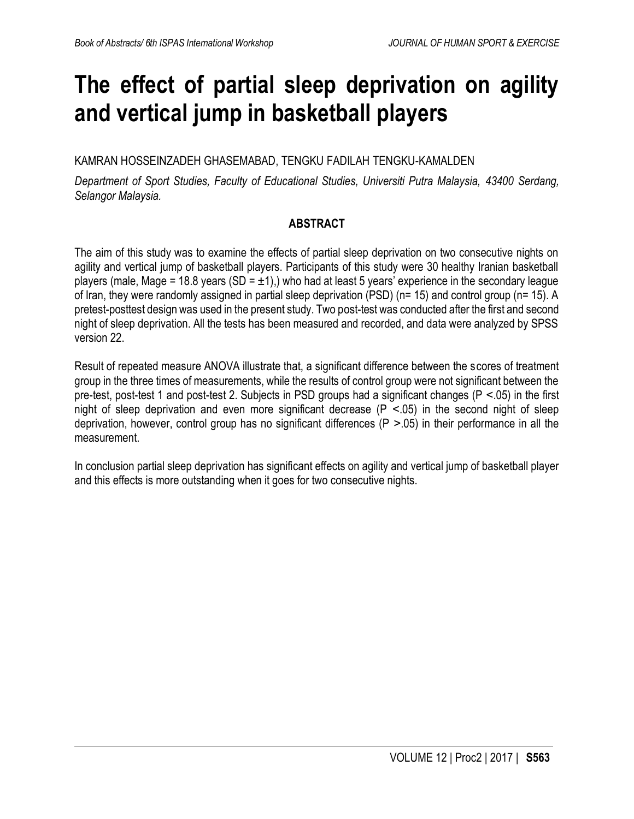## **The effect of partial sleep deprivation on agility and vertical jump in basketball players**

KAMRAN HOSSEINZADEH GHASEMABAD, TENGKU FADILAH TENGKU-KAMALDEN

*Department of Sport Studies, Faculty of Educational Studies, Universiti Putra Malaysia, 43400 Serdang, Selangor Malaysia.*

### **ABSTRACT**

The aim of this study was to examine the effects of partial sleep deprivation on two consecutive nights on agility and vertical jump of basketball players. Participants of this study were 30 healthy Iranian basketball players (male, Mage = 18.8 years (SD =  $\pm$ 1),) who had at least 5 years' experience in the secondary league of Iran, they were randomly assigned in partial sleep deprivation (PSD) (n= 15) and control group (n= 15). A pretest-posttest design was used in the present study. Two post-test was conducted after the first and second night of sleep deprivation. All the tests has been measured and recorded, and data were analyzed by SPSS version 22.

Result of repeated measure ANOVA illustrate that, a significant difference between the scores of treatment group in the three times of measurements, while the results of control group were not significant between the pre-test, post-test 1 and post-test 2. Subjects in PSD groups had a significant changes (P ˂.05) in the first night of sleep deprivation and even more significant decrease  $(P < 0.05)$  in the second night of sleep deprivation, however, control group has no significant differences ( $P > 05$ ) in their performance in all the measurement.

In conclusion partial sleep deprivation has significant effects on agility and vertical jump of basketball player and this effects is more outstanding when it goes for two consecutive nights.